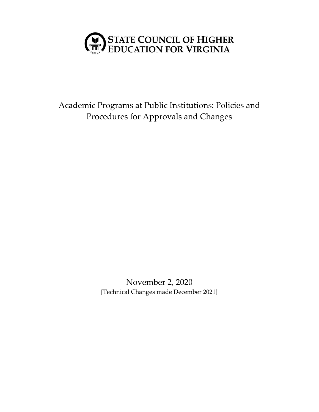

Academic Programs at Public Institutions: Policies and Procedures for Approvals and Changes

> November 2, 2020 [Technical Changes made December 2021]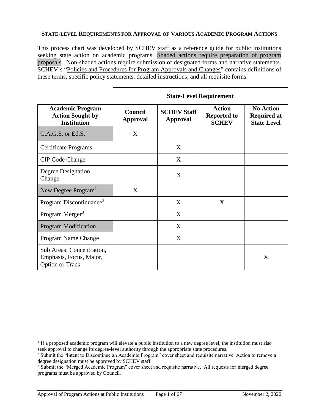#### **STATE-LEVEL REQUIREMENTS FOR APPROVAL OF VARIOUS ACADEMIC PROGRAM ACTIONS**

This process chart was developed by SCHEV staff as a reference guide for public institutions seeking state action on academic programs. Shaded actions require preparation of program proposals. Non-shaded actions require submission of designated forms and narrative statements. SCHEV's "Policies and Procedures for Program Approvals and Changes" contains definitions of these terms, specific policy statements, detailed instructions, and all requisite forms.

|                                                                                | <b>State-Level Requirement</b>    |                                       |                                                     |                                                              |  |  |  |
|--------------------------------------------------------------------------------|-----------------------------------|---------------------------------------|-----------------------------------------------------|--------------------------------------------------------------|--|--|--|
| <b>Academic Program</b><br><b>Action Sought by</b><br><b>Institution</b>       | <b>Council</b><br><b>Approval</b> | <b>SCHEV Staff</b><br><b>Approval</b> | <b>Action</b><br><b>Reported to</b><br><b>SCHEV</b> | <b>No Action</b><br><b>Required at</b><br><b>State Level</b> |  |  |  |
| C.A.G.S. or $Ed.S.1$                                                           | X                                 |                                       |                                                     |                                                              |  |  |  |
| Certificate Programs                                                           |                                   | X                                     |                                                     |                                                              |  |  |  |
| <b>CIP Code Change</b>                                                         |                                   | X                                     |                                                     |                                                              |  |  |  |
| Degree Designation<br>Change                                                   |                                   | X                                     |                                                     |                                                              |  |  |  |
| New Degree Program <sup>1</sup>                                                | X                                 |                                       |                                                     |                                                              |  |  |  |
| Program Discontinuance <sup>2</sup>                                            |                                   | X                                     | X                                                   |                                                              |  |  |  |
| Program Merger <sup>3</sup>                                                    |                                   | X                                     |                                                     |                                                              |  |  |  |
| <b>Program Modification</b>                                                    |                                   | X                                     |                                                     |                                                              |  |  |  |
| Program Name Change                                                            |                                   | X                                     |                                                     |                                                              |  |  |  |
| Sub Areas: Concentration,<br>Emphasis, Focus, Major,<br><b>Option or Track</b> |                                   |                                       |                                                     | X                                                            |  |  |  |

 $\overline{a}$ 

<sup>&</sup>lt;sup>1</sup> If a proposed academic program will elevate a public institution to a new degree level, the institution must also seek approval to change its degree-level authority through the appropriate state procedures.

<sup>&</sup>lt;sup>2</sup> Submit the "Intent to Discontinue an Academic Program" cover sheet and requisite narrative. Action to remove a degree designation must be approved by SCHEV staff.

<sup>3</sup> Submit the "Merged Academic Program" cover sheet and requisite narrative. All requests for merged degree programs must be approved by Council.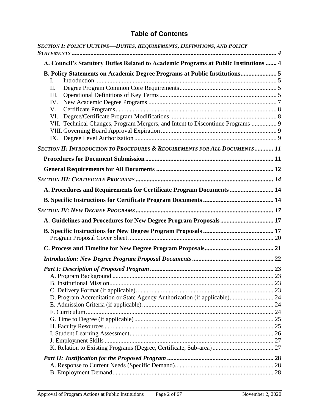# <span id="page-2-0"></span>**Table of Contents**

| SECTION I: POLICY OUTLINE-DUTIES, REQUIREMENTS, DEFINITIONS, AND POLICY                                                                                                                            |  |
|----------------------------------------------------------------------------------------------------------------------------------------------------------------------------------------------------|--|
| A. Council's Statutory Duties Related to Academic Programs at Public Institutions  4                                                                                                               |  |
| B. Policy Statements on Academic Degree Programs at Public Institutions 5<br>I.<br>II.<br>Ш.<br>IV.<br>V.<br>VI.<br>VII. Technical Changes, Program Mergers, and Intent to Discontinue Programs  9 |  |
| SECTION II: INTRODUCTION TO PROCEDURES & REQUIREMENTS FOR ALL DOCUMENTS 11                                                                                                                         |  |
|                                                                                                                                                                                                    |  |
|                                                                                                                                                                                                    |  |
|                                                                                                                                                                                                    |  |
| A. Procedures and Requirements for Certificate Program Documents  14                                                                                                                               |  |
|                                                                                                                                                                                                    |  |
|                                                                                                                                                                                                    |  |
| A. Guidelines and Procedures for New Degree Program Proposals 17                                                                                                                                   |  |
|                                                                                                                                                                                                    |  |
|                                                                                                                                                                                                    |  |
|                                                                                                                                                                                                    |  |
|                                                                                                                                                                                                    |  |
|                                                                                                                                                                                                    |  |
|                                                                                                                                                                                                    |  |
| D. Program Accreditation or State Agency Authorization (if applicable) 24                                                                                                                          |  |
|                                                                                                                                                                                                    |  |
|                                                                                                                                                                                                    |  |
|                                                                                                                                                                                                    |  |
|                                                                                                                                                                                                    |  |
|                                                                                                                                                                                                    |  |
|                                                                                                                                                                                                    |  |
|                                                                                                                                                                                                    |  |
|                                                                                                                                                                                                    |  |
|                                                                                                                                                                                                    |  |
|                                                                                                                                                                                                    |  |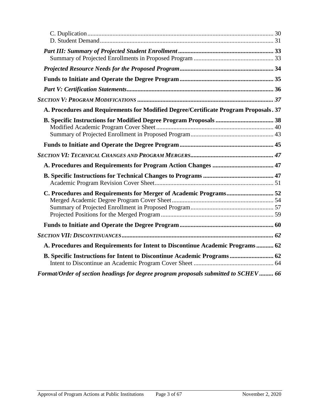| A. Procedures and Requirements for Modified Degree/Certificate Program Proposals. 37 |  |
|--------------------------------------------------------------------------------------|--|
|                                                                                      |  |
|                                                                                      |  |
|                                                                                      |  |
|                                                                                      |  |
|                                                                                      |  |
| C. Procedures and Requirements for Merger of Academic Programs 52                    |  |
|                                                                                      |  |
|                                                                                      |  |
| A. Procedures and Requirements for Intent to Discontinue Academic Programs 62        |  |
|                                                                                      |  |
| Format/Order of section headings for degree program proposals submitted to SCHEV 66  |  |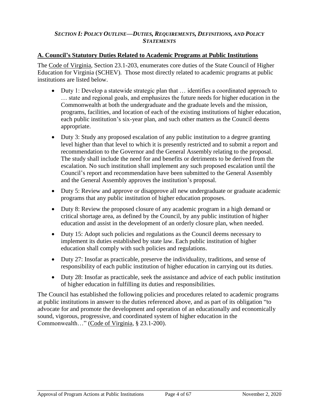# <span id="page-4-0"></span>*SECTION I: POLICY OUTLINE—DUTIES, REQUIREMENTS, DEFINITIONS, AND POLICY STATEMENTS*

# <span id="page-4-1"></span>**A. Council's Statutory Duties Related to Academic Programs at Public Institutions**

The Code of Virginia, Section 23.1-203, enumerates core duties of the State Council of Higher Education for Virginia (SCHEV). Those most directly related to academic programs at public institutions are listed below.

- Duty 1: Develop a statewide strategic plan that … identifies a coordinated approach to … state and regional goals, and emphasizes the future needs for higher education in the Commonwealth at both the undergraduate and the graduate levels and the mission, programs, facilities, and location of each of the existing institutions of higher education, each public institution's six-year plan, and such other matters as the Council deems appropriate.
- Duty 3: Study any proposed escalation of any public institution to a degree granting level higher than that level to which it is presently restricted and to submit a report and recommendation to the Governor and the General Assembly relating to the proposal. The study shall include the need for and benefits or detriments to be derived from the escalation. No such institution shall implement any such proposed escalation until the Council's report and recommendation have been submitted to the General Assembly and the General Assembly approves the institution's proposal.
- Duty 5: Review and approve or disapprove all new undergraduate or graduate academic programs that any public institution of higher education proposes.
- Duty 8: Review the proposed closure of any academic program in a high demand or critical shortage area, as defined by the Council, by any public institution of higher education and assist in the development of an orderly closure plan, when needed.
- Duty 15: Adopt such policies and regulations as the Council deems necessary to implement its duties established by state law. Each public institution of higher education shall comply with such policies and regulations.
- Duty 27: Insofar as practicable, preserve the individuality, traditions, and sense of responsibility of each public institution of higher education in carrying out its duties.
- Duty 28: Insofar as practicable, seek the assistance and advice of each public institution of higher education in fulfilling its duties and responsibilities.

The Council has established the following policies and procedures related to academic programs at public institutions in answer to the duties referenced above, and as part of its obligation "to advocate for and promote the development and operation of an educationally and economically sound, vigorous, progressive, and coordinated system of higher education in the Commonwealth…" (Code of Virginia, § 23.1-200).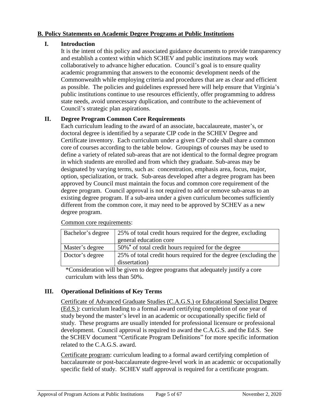# <span id="page-5-0"></span>**B. Policy Statements on Academic Degree Programs at Public Institutions**

# <span id="page-5-1"></span>**I. Introduction**

It is the intent of this policy and associated guidance documents to provide transparency and establish a context within which SCHEV and public institutions may work collaboratively to advance higher education. Council's goal is to ensure quality academic programming that answers to the economic development needs of the Commonwealth while employing criteria and procedures that are as clear and efficient as possible. The policies and guidelines expressed here will help ensure that Virginia's public institutions continue to use resources efficiently, offer programming to address state needs, avoid unnecessary duplication, and contribute to the achievement of Council's strategic plan aspirations.

# <span id="page-5-2"></span>**II. Degree Program Common Core Requirements**

Each curriculum leading to the award of an associate, baccalaureate, master's, or doctoral degree is identified by a separate CIP code in the SCHEV Degree and Certificate inventory. Each curriculum under a given CIP code shall share a common core of courses according to the table below. Groupings of courses may be used to define a variety of related sub-areas that are not identical to the formal degree program in which students are enrolled and from which they graduate. Sub-areas may be designated by varying terms, such as: concentration, emphasis area, focus, major, option, specialization, or track. Sub-areas developed after a degree program has been approved by Council must maintain the focus and common core requirement of the degree program. Council approval is not required to add or remove sub-areas to an existing degree program. If a sub-area under a given curriculum becomes sufficiently different from the common core, it may need to be approved by SCHEV as a new degree program.

| Bachelor's degree | 25% of total credit hours required for the degree, excluding     |
|-------------------|------------------------------------------------------------------|
|                   | general education core                                           |
| Master's degree   | 50%* of total credit hours required for the degree               |
| Doctor's degree   | 25% of total credit hours required for the degree (excluding the |
|                   | dissertation)                                                    |

Common core requirements:

\*Consideration will be given to degree programs that adequately justify a core curriculum with less than 50%.

# <span id="page-5-3"></span>**III. Operational Definitions of Key Terms**

Certificate of Advanced Graduate Studies (C.A.G.S.) or Educational Specialist Degree (Ed.S.): curriculum leading to a formal award certifying completion of one year of study beyond the master's level in an academic or occupationally specific field of study. These programs are usually intended for professional licensure or professional development. Council approval is required to award the C.A.G.S. and the Ed.S. See the SCHEV document "Certificate Program Definitions" for more specific information related to the C.A.G.S. award.

Certificate program: curriculum leading to a formal award certifying completion of baccalaureate or post-baccalaureate degree-level work in an academic or occupationally specific field of study. SCHEV staff approval is required for a certificate program.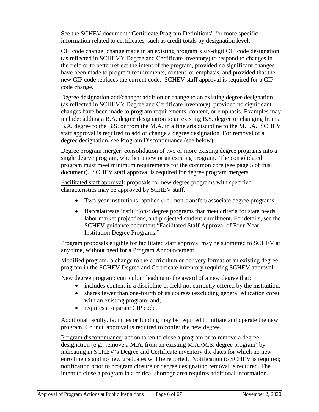See the SCHEV document "Certificate Program Definitions" for more specific information related to certificates, such as credit totals by designation level.

CIP code change: change made in an existing program's six-digit CIP code designation (as reflected in SCHEV's Degree and Certificate inventory) to respond to changes in the field or to better reflect the intent of the program, provided no significant changes have been made to program requirements, content, or emphasis, and provided that the new CIP code replaces the current code. SCHEV staff approval is required for a CIP code change.

Degree designation add/change: addition or change to an existing degree designation (as reflected in SCHEV's Degree and Certificate inventory), provided no significant changes have been made to program requirements, content, or emphasis. Examples may include: adding a B.A. degree designation to an existing B.S. degree or changing from a B.A. degree to the B.S. or from the M.A. in a fine arts discipline to the M.F.A. SCHEV staff approval is required to add or change a degree designation. For removal of a degree designation, see Program Discontinuance (see below).

Degree program merger: consolidation of two or more existing degree programs into a single degree program, whether a new or an existing program. The consolidated program must meet minimum requirements for the common core (see page 5 of this document). SCHEV staff approval is required for degree program mergers.

Facilitated staff approval: proposals for new degree programs with specified characteristics may be approved by SCHEV staff.

- Two-year institutions: applied (i.e., non-transfer) associate degree programs.
- Baccalaureate institutions: degree programs that meet criteria for state needs, labor market projections, and projected student enrollment. For details, see the SCHEV guidance document "Facilitated Staff Approval of Four-Year Institution Degree Programs."

Program proposals eligible for facilitated staff approval may be submitted to SCHEV at any time, without need for a Program Announcement.

Modified program**:** a change to the curriculum or delivery format of an existing degree program in the SCHEV Degree and Certificate inventory requiring SCHEV approval.

New degree program: curriculum leading to the award of a new degree that:

- includes content in a discipline or field not currently offered by the institution;
- shares fewer than one-fourth of its courses (excluding general education core) with an existing program; and,
- requires a separate CIP code.

Additional faculty, facilities or funding may be required to initiate and operate the new program. Council approval is required to confer the new degree.

Program discontinuance: action taken to close a program or to remove a degree designation (e.g., remove a M.A. from an existing M.A./M.S. degree program) by indicating in SCHEV's Degree and Certificate inventory the dates for which no new enrollments and no new graduates will be reported. Notification to SCHEV is required; notification prior to program closure or degree designation removal is required. The intent to close a program in a critical shortage area requires additional information.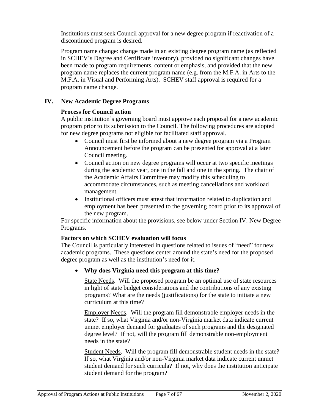Institutions must seek Council approval for a new degree program if reactivation of a discontinued program is desired.

Program name change: change made in an existing degree program name (as reflected in SCHEV's Degree and Certificate inventory), provided no significant changes have been made to program requirements, content or emphasis, and provided that the new program name replaces the current program name (e.g. from the M.F.A. in Arts to the M.F.A. in Visual and Performing Arts). SCHEV staff approval is required for a program name change.

# <span id="page-7-0"></span>**IV. New Academic Degree Programs**

# **Process for Council action**

A public institution's governing board must approve each proposal for a new academic program prior to its submission to the Council. The following procedures are adopted for new degree programs not eligible for facilitated staff approval.

- Council must first be informed about a new degree program via a Program Announcement before the program can be presented for approval at a later Council meeting.
- Council action on new degree programs will occur at two specific meetings during the academic year, one in the fall and one in the spring. The chair of the Academic Affairs Committee may modify this scheduling to accommodate circumstances, such as meeting cancellations and workload management.
- Institutional officers must attest that information related to duplication and employment has been presented to the governing board prior to its approval of the new program.

For specific information about the provisions, see below under Section IV: New Degree Programs.

# **Factors on which SCHEV evaluation will focus**

The Council is particularly interested in questions related to issues of "need" for new academic programs. These questions center around the state's need for the proposed degree program as well as the institution's need for it.

# **Why does Virginia need this program at this time?**

State Needs. Will the proposed program be an optimal use of state resources in light of state budget considerations and the contributions of any existing programs? What are the needs (justifications) for the state to initiate a new curriculum at this time?

Employer Needs. Will the program fill demonstrable employer needs in the state? If so, what Virginia and/or non-Virginia market data indicate current unmet employer demand for graduates of such programs and the designated degree level? If not, will the program fill demonstrable non-employment needs in the state?

Student Needs. Will the program fill demonstrable student needs in the state? If so, what Virginia and/or non-Virginia market data indicate current unmet student demand for such curricula? If not, why does the institution anticipate student demand for the program?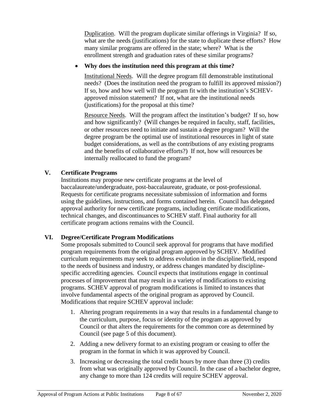Duplication. Will the program duplicate similar offerings in Virginia? If so, what are the needs (justifications) for the state to duplicate these efforts? How many similar programs are offered in the state; where? What is the enrollment strength and graduation rates of these similar programs?

# **Why does the institution need this program at this time?**

Institutional Needs. Will the degree program fill demonstrable institutional needs? (Does the institution need the program to fulfill its approved mission?) If so, how and how well will the program fit with the institution's SCHEVapproved mission statement? If not, what are the institutional needs (justifications) for the proposal at this time?

Resource Needs. Will the program affect the institution's budget? If so, how and how significantly? (Will changes be required in faculty, staff, facilities, or other resources need to initiate and sustain a degree program? Will the degree program be the optimal use of institutional resources in light of state budget considerations, as well as the contributions of any existing programs and the benefits of collaborative efforts?) If not, how will resources be internally reallocated to fund the program?

# <span id="page-8-0"></span>**V. Certificate Programs**

Institutions may propose new certificate programs at the level of baccalaureate/undergraduate, post-baccalaureate, graduate, or post-professional. Requests for certificate programs necessitate submission of information and forms using the guidelines, instructions, and forms contained herein. Council has delegated approval authority for new certificate programs, including certificate modifications, technical changes, and discontinuances to SCHEV staff. Final authority for all certificate program actions remains with the Council.

# <span id="page-8-1"></span>**VI. Degree/Certificate Program Modifications**

Some proposals submitted to Council seek approval for programs that have modified program requirements from the original program approved by SCHEV. Modified curriculum requirements may seek to address evolution in the discipline/field, respond to the needs of business and industry, or address changes mandated by disciplinespecific accrediting agencies. Council expects that institutions engage in continual processes of improvement that may result in a variety of modifications to existing programs. SCHEV approval of program modifications is limited to instances that involve fundamental aspects of the original program as approved by Council. Modifications that require SCHEV approval include:

- 1. Altering program requirements in a way that results in a fundamental change to the curriculum, purpose, focus or identity of the program as approved by Council or that alters the requirements for the common core as determined by Council (see page 5 of this document).
- 2. Adding a new delivery format to an existing program or ceasing to offer the program in the format in which it was approved by Council.
- 3. Increasing or decreasing the total credit hours by more than three (3) credits from what was originally approved by Council. In the case of a bachelor degree, any change to more than 124 credits will require SCHEV approval.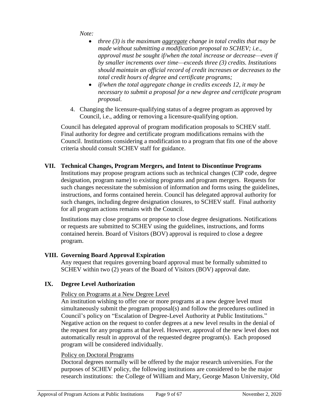*Note:*

- *three (3) is the maximum aggregate change in total credits that may be made without submitting a modification proposal to SCHEV; i.e., approval must be sought if/when the total increase or decrease—even if by smaller increments over time—exceeds three (3) credits. Institutions should maintain an official record of credit increases or decreases to the total credit hours of degree and certificate programs;*
- *if/when the total aggregate change in credits exceeds 12, it may be necessary to submit a proposal for a new degree and certificate program proposal.*
- 4. Changing the licensure-qualifying status of a degree program as approved by Council, i.e., adding or removing a licensure-qualifying option.

Council has delegated approval of program modification proposals to SCHEV staff. Final authority for degree and certificate program modifications remains with the Council. Institutions considering a modification to a program that fits one of the above criteria should consult SCHEV staff for guidance.

# <span id="page-9-0"></span>**VII. Technical Changes, Program Mergers, and Intent to Discontinue Programs**

Institutions may propose program actions such as technical changes (CIP code, degree designation, program name) to existing programs and program mergers. Requests for such changes necessitate the submission of information and forms using the guidelines, instructions, and forms contained herein. Council has delegated approval authority for such changes, including degree designation closures, to SCHEV staff. Final authority for all program actions remains with the Council.

Institutions may close programs or propose to close degree designations. Notifications or requests are submitted to SCHEV using the guidelines, instructions, and forms contained herein. Board of Visitors (BOV) approval is required to close a degree program.

# <span id="page-9-1"></span>**VIII. Governing Board Approval Expiration**

Any request that requires governing board approval must be formally submitted to SCHEV within two (2) years of the Board of Visitors (BOV) approval date.

# <span id="page-9-2"></span>**IX. Degree Level Authorization**

# Policy on Programs at a New Degree Level

An institution wishing to offer one or more programs at a new degree level must simultaneously submit the program proposal(s) and follow the procedures outlined in Council's policy on "Escalation of Degree-Level Authority at Public Institutions." Negative action on the request to confer degrees at a new level results in the denial of the request for any programs at that level. However, approval of the new level does not automatically result in approval of the requested degree program(s). Each proposed program will be considered individually.

# Policy on Doctoral Programs

Doctoral degrees normally will be offered by the major research universities. For the purposes of SCHEV policy, the following institutions are considered to be the major research institutions: the College of William and Mary, George Mason University, Old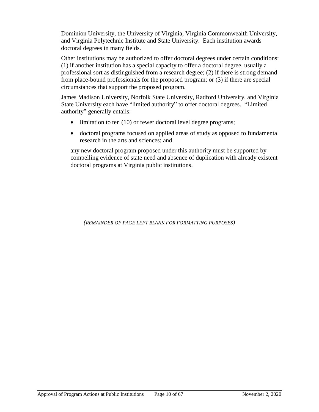Dominion University, the University of Virginia, Virginia Commonwealth University, and Virginia Polytechnic Institute and State University. Each institution awards doctoral degrees in many fields.

Other institutions may be authorized to offer doctoral degrees under certain conditions: (1) if another institution has a special capacity to offer a doctoral degree, usually a professional sort as distinguished from a research degree; (2) if there is strong demand from place-bound professionals for the proposed program; or (3) if there are special circumstances that support the proposed program.

James Madison University, Norfolk State University, Radford University, and Virginia State University each have "limited authority" to offer doctoral degrees. "Limited authority" generally entails:

- limitation to ten (10) or fewer doctoral level degree programs;
- doctoral programs focused on applied areas of study as opposed to fundamental research in the arts and sciences; and

any new doctoral program proposed under this authority must be supported by compelling evidence of state need and absence of duplication with already existent doctoral programs at Virginia public institutions.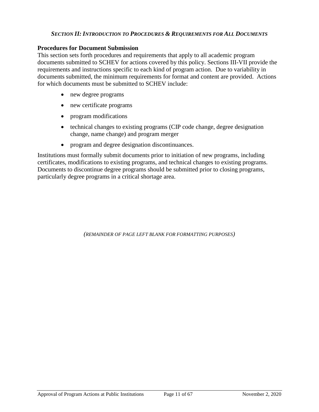### *SECTION II: INTRODUCTION TO PROCEDURES & REQUIREMENTS FOR ALL DOCUMENTS*

#### <span id="page-11-1"></span><span id="page-11-0"></span>**Procedures for Document Submission**

This section sets forth procedures and requirements that apply to all academic program documents submitted to SCHEV for actions covered by this policy. Sections III-VII provide the requirements and instructions specific to each kind of program action. Due to variability in documents submitted, the minimum requirements for format and content are provided. Actions for which documents must be submitted to SCHEV include:

- new degree programs
- new certificate programs
- program modifications
- technical changes to existing programs (CIP code change, degree designation change, name change) and program merger
- program and degree designation discontinuances.

Institutions must formally submit documents prior to initiation of new programs, including certificates, modifications to existing programs, and technical changes to existing programs. Documents to discontinue degree programs should be submitted prior to closing programs, particularly degree programs in a critical shortage area.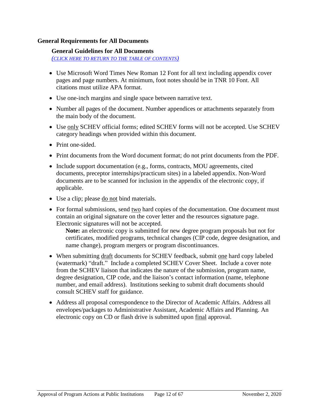#### <span id="page-12-0"></span>**General Requirements for All Documents**

#### **General Guidelines for All Documents**

*(CLICK HERE TO RETURN [TO THE TABLE OF CONTENTS](#page-2-0))*

- Use Microsoft Word Times New Roman 12 Font for all text including appendix cover pages and page numbers. At minimum, foot notes should be in TNR 10 Font. All citations must utilize APA format.
- Use one-inch margins and single space between narrative text.
- Number all pages of the document. Number appendices or attachments separately from the main body of the document.
- Use only SCHEV official forms; edited SCHEV forms will not be accepted. Use SCHEV category headings when provided within this document.
- Print one-sided.
- Print documents from the Word document format; do not print documents from the PDF.
- Include support documentation (e.g., forms, contracts, MOU agreements, cited documents, preceptor internships/practicum sites) in a labeled appendix. Non-Word documents are to be scanned for inclusion in the appendix of the electronic copy, if applicable.
- Use a clip; please do not bind materials.
- For formal submissions, send two hard copies of the documentation. One document must contain an original signature on the cover letter and the resources signature page. Electronic signatures will not be accepted.

**Note:** an electronic copy is submitted for new degree program proposals but not for certificates, modified programs, technical changes (CIP code, degree designation, and name change), program mergers or program discontinuances.

- When submitting draft documents for SCHEV feedback, submit one hard copy labeled (watermark) "draft." Include a completed SCHEV Cover Sheet. Include a cover note from the SCHEV liaison that indicates the nature of the submission, program name, degree designation, CIP code, and the liaison's contact information (name, telephone number, and email address). Institutions seeking to submit draft documents should consult SCHEV staff for guidance.
- Address all proposal correspondence to the Director of Academic Affairs. Address all envelopes/packages to Administrative Assistant, Academic Affairs and Planning. An electronic copy on CD or flash drive is submitted upon final approval.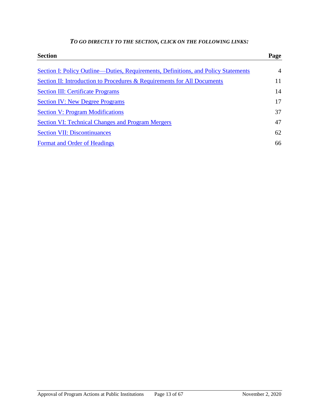| <b>Section</b>                                                                     | Page           |
|------------------------------------------------------------------------------------|----------------|
| Section I: Policy Outline—Duties, Requirements, Definitions, and Policy Statements | $\overline{A}$ |
| Section II: Introduction to Procedures & Requirements for All Documents            | 11             |
| <b>Section III: Certificate Programs</b>                                           | 14             |
| <b>Section IV: New Degree Programs</b>                                             | 17             |
| <b>Section V: Program Modifications</b>                                            | 37             |
| <b>Section VI: Technical Changes and Program Mergers</b>                           | 47             |
| <b>Section VII: Discontinuances</b>                                                | 62             |
| Format and Order of Headings                                                       | 66             |

# *TO GO DIRECTLY TO THE SECTION, CLICK ON THE FOLLOWING LINKS:*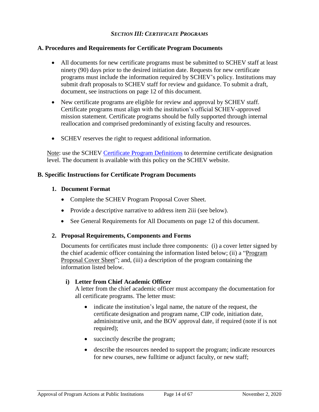### *SECTION III: CERTIFICATE PROGRAMS*

### <span id="page-14-1"></span><span id="page-14-0"></span>**A. Procedures and Requirements for Certificate Program Documents**

- All documents for new certificate programs must be submitted to SCHEV staff at least ninety (90) days prior to the desired initiation date. Requests for new certificate programs must include the information required by SCHEV's policy. Institutions may submit draft proposals to SCHEV staff for review and guidance. To submit a draft, document, see instructions on page 12 of this document.
- New certificate programs are eligible for review and approval by SCHEV staff. Certificate programs must align with the institution's official SCHEV-approved mission statement. Certificate programs should be fully supported through internal reallocation and comprised predominantly of existing faculty and resources.
- SCHEV reserves the right to request additional information.

Note: use the SCHEV [Certificate Program Definitions](https://schev.edu/docs/default-source/institution-section/GuidancePolicy/academic-program-forms/certificateprogramdefinitions-1.pdf) to determine certificate designation level. The document is available with this policy on the SCHEV website.

#### <span id="page-14-2"></span>**B. Specific Instructions for Certificate Program Documents**

### **1. Document Format**

- Complete the SCHEV Program Proposal Cover Sheet.
- Provide a descriptive narrative to address item 2iii (see below).
- See General Requirements for All Documents on page 12 of this document.

#### **2. Proposal Requirements, Components and Forms**

Documents for certificates must include three components: (i) a cover letter signed by the chief academic officer containing the information listed below; (ii) a "Program Proposal Cover Sheet"; and, (iii) a description of the program containing the information listed below.

#### **i) Letter from Chief Academic Officer**

A letter from the chief academic officer must accompany the documentation for all certificate programs. The letter must:

- indicate the institution's legal name, the nature of the request, the certificate designation and program name, CIP code, initiation date, administrative unit, and the BOV approval date, if required (note if is not required);
- succinctly describe the program;
- describe the resources needed to support the program; indicate resources for new courses, new fulltime or adjunct faculty, or new staff;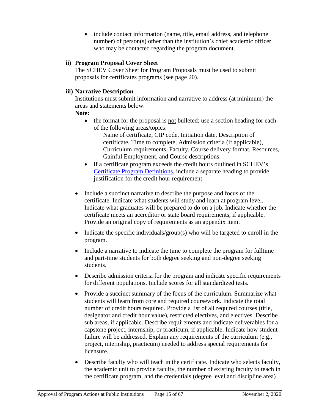• include contact information (name, title, email address, and telephone number) of person(s) other than the institution's chief academic officer who may be contacted regarding the program document.

# **ii) Program Proposal Cover Sheet**

The SCHEV Cover Sheet for Program Proposals must be used to submit proposals for certificates programs (see page 20).

# **iii) Narrative Description**

Institutions must submit information and narrative to address (at minimum) the areas and statements below.

# **Note:**

• the format for the proposal is not bulleted; use a section heading for each of the following areas/topics:

Name of certificate, CIP code, Initiation date, Description of certificate, Time to complete, Admission criteria (if applicable), Curriculum requirements, Faculty, Course delivery format, Resources, Gainful Employment, and Course descriptions.

- if a certificate program exceeds the credit hours outlined in SCHEV's [Certificate Program Definitions,](https://schev.edu/docs/default-source/institution-section/GuidancePolicy/academic-program-forms/certificateprogramdefinitions-1.pdf) include a separate heading to provide justification for the credit hour requirement.
- Include a succinct narrative to describe the purpose and focus of the certificate. Indicate what students will study and learn at program level. Indicate what graduates will be prepared to do on a job. Indicate whether the certificate meets an accreditor or state board requirements, if applicable. Provide an original copy of requirements as an appendix item.
- Indicate the specific individuals/group(s) who will be targeted to enroll in the program.
- Include a narrative to indicate the time to complete the program for fulltime and part-time students for both degree seeking and non-degree seeking students.
- Describe admission criteria for the program and indicate specific requirements for different populations. Include scores for all standardized tests.
- Provide a succinct summary of the focus of the curriculum. Summarize what students will learn from core and required coursework. Indicate the total number of credit hours required. Provide a list of all required courses (title, designator and credit hour value), restricted electives, and electives. Describe sub areas, if applicable. Describe requirements and indicate deliverables for a capstone project, internship, or practicum, if applicable. Indicate how student failure will be addressed. Explain any requirements of the curriculum (e.g., project, internship, practicum) needed to address special requirements for licensure.
- Describe faculty who will teach in the certificate. Indicate who selects faculty, the academic unit to provide faculty, the number of existing faculty to teach in the certificate program, and the credentials (degree level and discipline area)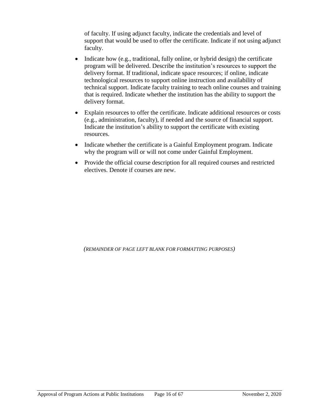of faculty. If using adjunct faculty, indicate the credentials and level of support that would be used to offer the certificate. Indicate if not using adjunct faculty.

- $\bullet$  Indicate how (e.g., traditional, fully online, or hybrid design) the certificate program will be delivered. Describe the institution's resources to support the delivery format. If traditional, indicate space resources; if online, indicate technological resources to support online instruction and availability of technical support. Indicate faculty training to teach online courses and training that is required. Indicate whether the institution has the ability to support the delivery format.
- Explain resources to offer the certificate. Indicate additional resources or costs (e.g., administration, faculty), if needed and the source of financial support. Indicate the institution's ability to support the certificate with existing resources.
- Indicate whether the certificate is a Gainful Employment program. Indicate why the program will or will not come under Gainful Employment.
- Provide the official course description for all required courses and restricted electives. Denote if courses are new.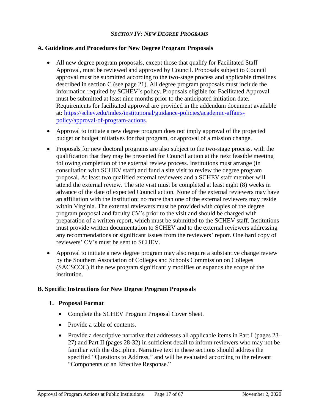### *SECTION IV: NEW DEGREE PROGRAMS*

# <span id="page-17-1"></span><span id="page-17-0"></span>**A. Guidelines and Procedures for New Degree Program Proposals**

- All new degree program proposals, except those that qualify for Facilitated Staff Approval, must be reviewed and approved by Council. Proposals subject to Council approval must be submitted according to the two-stage process and applicable timelines described in section C (see page 21). All degree program proposals must include the information required by SCHEV's policy. Proposals eligible for Facilitated Approval must be submitted at least nine months prior to the anticipated initiation date. Requirements for facilitated approval are provided in the addendum document available at: [https://schev.edu/index/institutional/guidance-policies/academic-affairs](https://schev.edu/index/institutional/guidance-policies/academic-affairs-policy/approval-of-program-actions)[policy/approval-of-program-actions.](https://schev.edu/index/institutional/guidance-policies/academic-affairs-policy/approval-of-program-actions)
- Approval to initiate a new degree program does not imply approval of the projected budget or budget initiatives for that program, or approval of a mission change.
- Proposals for new doctoral programs are also subject to the two-stage process, with the qualification that they may be presented for Council action at the next feasible meeting following completion of the external review process. Institutions must arrange (in consultation with SCHEV staff) and fund a site visit to review the degree program proposal. At least two qualified external reviewers and a SCHEV staff member will attend the external review. The site visit must be completed at least eight (8) weeks in advance of the date of expected Council action. None of the external reviewers may have an affiliation with the institution; no more than one of the external reviewers may reside within Virginia. The external reviewers must be provided with copies of the degree program proposal and faculty CV's prior to the visit and should be charged with preparation of a written report, which must be submitted to the SCHEV staff. Institutions must provide written documentation to SCHEV and to the external reviewers addressing any recommendations or significant issues from the reviewers' report. One hard copy of reviewers' CV's must be sent to SCHEV.
- Approval to initiate a new degree program may also require a substantive change review by the Southern Association of Colleges and Schools Commission on Colleges (SACSCOC) if the new program significantly modifies or expands the scope of the institution.

# <span id="page-17-2"></span>**B. Specific Instructions for New Degree Program Proposals**

# **1. Proposal Format**

- Complete the SCHEV Program Proposal Cover Sheet.
- Provide a table of contents.
- Provide a descriptive narrative that addresses all applicable items in Part I (pages 23- 27) and Part II (pages 28-32) in sufficient detail to inform reviewers who may not be familiar with the discipline. Narrative text in these sections should address the specified "Questions to Address," and will be evaluated according to the relevant "Components of an Effective Response."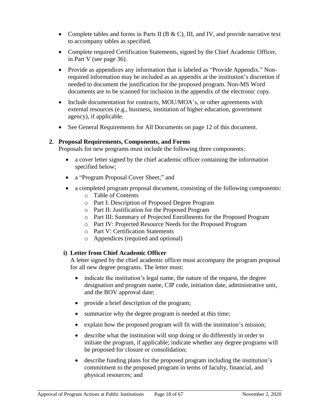- Complete tables and forms in Parts II (B & C), III, and IV, and provide narrative text to accompany tables as specified.
- Complete required Certification Statements, signed by the Chief Academic Officer, in Part V (see page 36).
- Provide as appendices any information that is labeled as "Provide Appendix." Nonrequired information may be included as an appendix at the institution's discretion if needed to document the justification for the proposed program. Non-MS Word documents are to be scanned for inclusion in the appendix of the electronic copy.
- Include documentation for contracts, MOU/MOA's, or other agreements with external resources (e.g., business, institution of higher education, government agency), if applicable.
- See General Requirements for All Documents on page 12 of this document.

### **2. Proposal Requirements, Components, and Forms**

Proposals for new programs must include the following three components:

- a cover letter signed by the chief academic officer containing the information specified below;
- a "Program Proposal Cover Sheet;" and
- a completed program proposal document, consisting of the following components:
	- o Table of Contents
	- o Part I: Description of Proposed Degree Program
	- o Part II: Justification for the Proposed Program
	- o Part III: Summary of Projected Enrollments for the Proposed Program
	- o Part IV: Projected Resource Needs for the Proposed Program
	- o Part V: Certification Statements
	- o Appendices (required and optional)

#### **i) Letter from Chief Academic Officer**

A letter signed by the chief academic officer must accompany the program proposal for all new degree programs. The letter must:

- indicate the institution's legal name, the nature of the request, the degree designation and program name, CIP code, initiation date, administrative unit, and the BOV approval date;
- provide a brief description of the program;
- summarize why the degree program is needed at this time;
- explain how the proposed program will fit with the institution's mission;
- describe what the institution will stop doing or do differently in order to initiate the program, if applicable; indicate whether any degree programs will be proposed for closure or consolidation;
- describe funding plans for the proposed program including the institution's commitment to the proposed program in terms of faculty, financial, and physical resources; and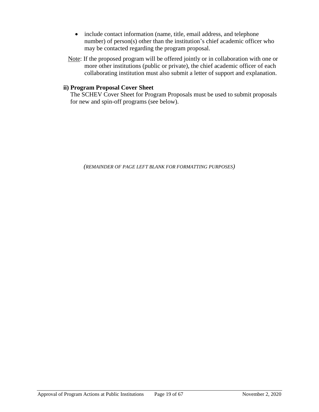- include contact information (name, title, email address, and telephone number) of person(s) other than the institution's chief academic officer who may be contacted regarding the program proposal.
- Note: If the proposed program will be offered jointly or in collaboration with one or more other institutions (public or private), the chief academic officer of each collaborating institution must also submit a letter of support and explanation.

# **ii) Program Proposal Cover Sheet**

The SCHEV Cover Sheet for Program Proposals must be used to submit proposals for new and spin-off programs (see below).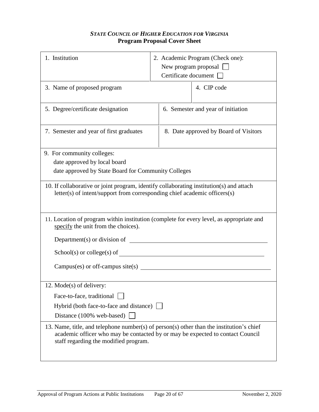# *STATE COUNCIL OF HIGHER EDUCATION FOR VIRGINIA* **Program Proposal Cover Sheet**

<span id="page-20-0"></span>

| 1. Institution                                                                                                                                                                                                      | 2. Academic Program (Check one):<br>New program proposal $\sqrt{\phantom{a}}$<br>Certificate document |  |  |  |  |
|---------------------------------------------------------------------------------------------------------------------------------------------------------------------------------------------------------------------|-------------------------------------------------------------------------------------------------------|--|--|--|--|
| 3. Name of proposed program                                                                                                                                                                                         | 4. CIP code                                                                                           |  |  |  |  |
| 5. Degree/certificate designation                                                                                                                                                                                   | 6. Semester and year of initiation                                                                    |  |  |  |  |
| 7. Semester and year of first graduates                                                                                                                                                                             | 8. Date approved by Board of Visitors                                                                 |  |  |  |  |
| 9. For community colleges:<br>date approved by local board<br>date approved by State Board for Community Colleges                                                                                                   |                                                                                                       |  |  |  |  |
| 10. If collaborative or joint program, identify collaborating institution(s) and attach<br>letter(s) of intent/support from corresponding chief academic officers(s)                                                |                                                                                                       |  |  |  |  |
| specify the unit from the choices).                                                                                                                                                                                 | 11. Location of program within institution (complete for every level, as appropriate and              |  |  |  |  |
| Department(s) or division of                                                                                                                                                                                        |                                                                                                       |  |  |  |  |
|                                                                                                                                                                                                                     |                                                                                                       |  |  |  |  |
| Campus(es) or off-campus site(s)                                                                                                                                                                                    |                                                                                                       |  |  |  |  |
| 12. Mode(s) of delivery:                                                                                                                                                                                            |                                                                                                       |  |  |  |  |
| Face-to-face, traditional                                                                                                                                                                                           |                                                                                                       |  |  |  |  |
| Hybrid (both face-to-face and distance)                                                                                                                                                                             |                                                                                                       |  |  |  |  |
| Distance (100% web-based)                                                                                                                                                                                           |                                                                                                       |  |  |  |  |
| 13. Name, title, and telephone number(s) of person(s) other than the institution's chief<br>academic officer who may be contacted by or may be expected to contact Council<br>staff regarding the modified program. |                                                                                                       |  |  |  |  |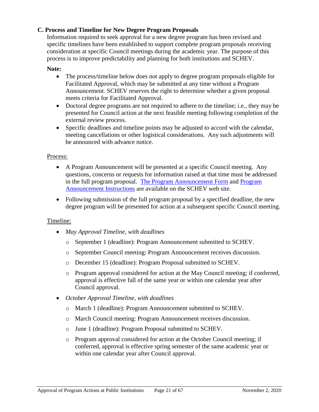# <span id="page-21-0"></span>**C. Process and Timeline for New Degree Program Proposals**

Information required to seek approval for a new degree program has been revised and specific timelines have been established to support complete program proposals receiving consideration at specific Council meetings during the academic year. The purpose of this process is to improve predictability and planning for both institutions and SCHEV.

### **Note:**

- The process/timeline below does not apply to degree program proposals eligible for Facilitated Approval, which may be submitted at any time without a Program Announcement. SCHEV reserves the right to determine whether a given proposal meets criteria for Facilitated Approval.
- Doctoral degree programs are not required to adhere to the timeline; i.e., they may be presented for Council action at the next feasible meeting following completion of the external review process.
- Specific deadlines and timeline points may be adjusted to accord with the calendar, meeting cancellations or other logistical considerations. Any such adjustments will be announced with advance notice.

#### Process:

- A Program Announcement will be presented at a specific Council meeting. Any questions, concerns or requests for information raised at that time must be addressed in the full program proposal. [The Program Announcement Form](https://schev.edu/docs/default-source/institution-section/GuidancePolicy/2020-academic-policies/program-announcements/program-announcement-form.docx) and [Program](https://schev.edu/docs/default-source/institution-section/GuidancePolicy/2020-academic-policies/program-announcements/schev-prog-announce-instruction.pdf)  [Announcement Instructions](https://schev.edu/docs/default-source/institution-section/GuidancePolicy/2020-academic-policies/program-announcements/schev-prog-announce-instruction.pdf) are available on the SCHEV web site.
- Following submission of the full program proposal by a specified deadline, the new degree program will be presented for action at a subsequent specific Council meeting.

# Timeline:

- *May Approval Timeline, with deadlines*
	- o September 1 (deadline): Program Announcement submitted to SCHEV.
	- o September Council meeting: Program Announcement receives discussion.
	- o December 15 (deadline): Program Proposal submitted to SCHEV.
	- o Program approval considered for action at the May Council meeting; if conferred, approval is effective fall of the same year or within one calendar year after Council approval.
- *October Approval Timeline, with deadlines*
	- o March 1 (deadline): Program Announcement submitted to SCHEV.
	- o March Council meeting: Program Announcement receives discussion.
	- o June 1 (deadline): Program Proposal submitted to SCHEV.
	- o Program approval considered for action at the October Council meeting; if conferred, approval is effective spring semester of the same academic year or within one calendar year after Council approval.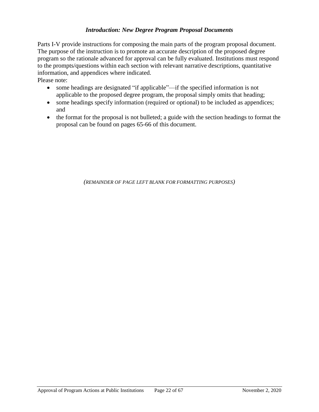# *Introduction: New Degree Program Proposal Documents*

<span id="page-22-0"></span>Parts I-V provide instructions for composing the main parts of the program proposal document. The purpose of the instruction is to promote an accurate description of the proposed degree program so the rationale advanced for approval can be fully evaluated. Institutions must respond to the prompts/questions within each section with relevant narrative descriptions, quantitative information, and appendices where indicated.

Please note:

- some headings are designated "if applicable"—if the specified information is not applicable to the proposed degree program, the proposal simply omits that heading;
- some headings specify information (required or optional) to be included as appendices; and
- the format for the proposal is not bulleted; a guide with the section headings to format the proposal can be found on pages 65-66 of this document.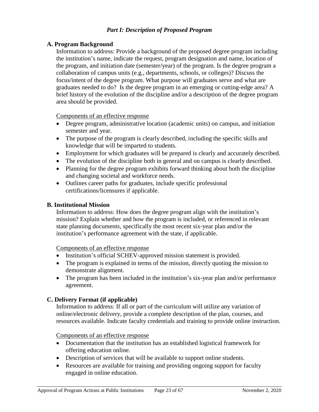# <span id="page-23-1"></span><span id="page-23-0"></span>**A. Program Background**

Information to address: Provide a background of the proposed degree program including the institution's name, indicate the request, program designation and name, location of the program, and initiation date (semester/year) of the program. Is the degree program a collaboration of campus units (e.g., departments, schools, or colleges)? Discuss the focus/intent of the degree program. What purpose will graduates serve and what are graduates needed to do? Is the degree program in an emerging or cutting-edge area? A brief history of the evolution of the discipline and/or a description of the degree program area should be provided.

Components of an effective response

- Degree program, administrative location (academic units) on campus, and initiation semester and year.
- The purpose of the program is clearly described, including the specific skills and knowledge that will be imparted to students.
- Employment for which graduates will be prepared is clearly and accurately described.
- The evolution of the discipline both in general and on campus is clearly described.
- Planning for the degree program exhibits forward thinking about both the discipline and changing societal and workforce needs.
- Outlines career paths for graduates, include specific professional certifications/licensures if applicable.

# <span id="page-23-2"></span>**B. Institutional Mission**

Information to address: How does the degree program align with the institution's mission? Explain whether and how the program is included, or referenced in relevant state planning documents, specifically the most recent six-year plan and/or the institution's performance agreement with the state, if applicable.

# Components of an effective response

- Institution's official SCHEV-approved mission statement is provided.
- The program is explained in terms of the mission, directly quoting the mission to demonstrate alignment.
- The program has been included in the institution's six-year plan and/or performance agreement.

# <span id="page-23-3"></span>**C. Delivery Format (if applicable)**

Information to address: If all or part of the curriculum will utilize any variation of online/electronic delivery, provide a complete description of the plan, courses, and resources available. Indicate faculty credentials and training to provide online instruction.

#### Components of an effective response

- Documentation that the institution has an established logistical framework for offering education online.
- Description of services that will be available to support online students.
- Resources are available for training and providing ongoing support for faculty engaged in online education.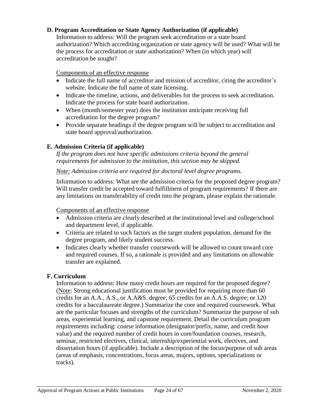# <span id="page-24-0"></span>**D. Program Accreditation or State Agency Authorization (if applicable)**

Information to address: Will the program seek accreditation or a state board authorization? Which accrediting organization or state agency will be used? What will be the process for accreditation or state authorization? When (in which year) will accreditation be sought?

### Components of an effective response

- Indicate the full name of accreditor and mission of accreditor, citing the accreditor's website. Indicate the full name of state licensing.
- Indicate the timeline, actions, and deliverables for the process to seek accreditation. Indicate the process for state board authorization.
- When (month/semester year) does the institution anticipate receiving full accreditation for the degree program?
- Provide separate headings if the degree program will be subject to accreditation and state board approval/authorization.

# <span id="page-24-1"></span>**E. Admission Criteria (if applicable)**

*If the program does not have specific admissions criteria beyond the general requirements for admission to the institution, this section may be skipped.*

### *Note: Admission criteria are required for doctoral level degree programs.*

Information to address: What are the admission criteria for the proposed degree program? Will transfer credit be accepted toward fulfillment of program requirements? If there are any limitations on transferability of credit into the program, please explain the rationale.

#### Components of an effective response

- Admission criteria are clearly described at the institutional level and college/school and department level, if applicable.
- Criteria are related to such factors as the target student population, demand for the degree program, and likely student success.
- Indicates clearly whether transfer coursework will be allowed to count toward core and required courses. If so, a rationale is provided and any limitations on allowable transfer are explained.

#### <span id="page-24-2"></span>**F. Curriculum**

Information to address: How many credit hours are required for the proposed degree? (Note: Strong educational justification must be provided for requiring more than 60 credits for an A.A., A.S., or A.A&S. degree; 65 credits for an A.A.S. degree; or 120 credits for a baccalaureate degree.) Summarize the core and required coursework. What are the particular focuses and strengths of the curriculum? Summarize the purpose of sub areas, experiential learning, and capstone requirement. Detail the curriculum program requirements including: course information (designator/prefix, name, and credit hour value) and the required number of credit hours in core/foundation courses, research, seminar, restricted electives, clinical, internship/experiential work, electives, and dissertation hours (if applicable). Include a description of the focus/purpose of sub areas (areas of emphasis, concentrations, focus areas, majors, options, specializations or tracks).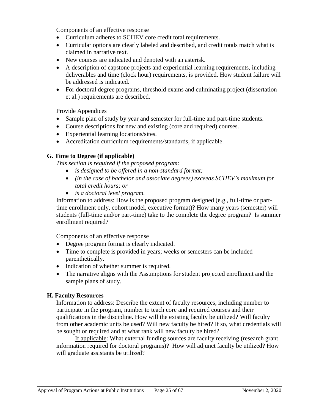Components of an effective response

- Curriculum adheres to SCHEV core credit total requirements.
- Curricular options are clearly labeled and described, and credit totals match what is claimed in narrative text.
- New courses are indicated and denoted with an asterisk.
- A description of capstone projects and experiential learning requirements, including deliverables and time (clock hour) requirements, is provided. How student failure will be addressed is indicated.
- For doctoral degree programs, threshold exams and culminating project (dissertation et al.) requirements are described.

Provide Appendices

- Sample plan of study by year and semester for full-time and part-time students.
- Course descriptions for new and existing (core and required) courses.
- Experiential learning locations/sites.
- Accreditation curriculum requirements/standards, if applicable.

# <span id="page-25-0"></span>**G. Time to Degree (if applicable)**

*This section is required if the proposed program:*

- *is designed to be offered in a non-standard format;*
- *(in the case of bachelor and associate degrees) exceeds SCHEV's maximum for total credit hours; or*
- *is a doctoral level program.*

Information to address: How is the proposed program designed (e.g., full-time or parttime enrollment only, cohort model, executive format)? How many years (semester) will students (full-time and/or part-time) take to the complete the degree program? Is summer enrollment required?

Components of an effective response

- Degree program format is clearly indicated.
- Time to complete is provided in years; weeks or semesters can be included parenthetically.
- Indication of whether summer is required.
- The narrative aligns with the Assumptions for student projected enrollment and the sample plans of study.

# <span id="page-25-1"></span>**H. Faculty Resources**

Information to address: Describe the extent of faculty resources, including number to participate in the program, number to teach core and required courses and their qualifications in the discipline. How will the existing faculty be utilized? Will faculty from other academic units be used? Will new faculty be hired? If so, what credentials will be sought or required and at what rank will new faculty be hired?

If applicable: What external funding sources are faculty receiving (research grant information required for doctoral programs)? How will adjunct faculty be utilized? How will graduate assistants be utilized?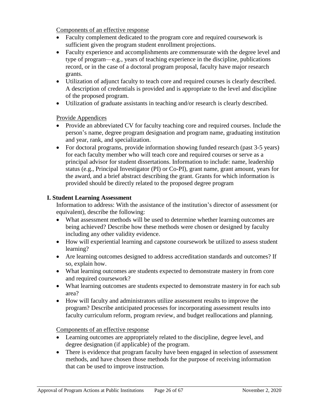Components of an effective response

- Faculty complement dedicated to the program core and required coursework is sufficient given the program student enrollment projections.
- Faculty experience and accomplishments are commensurate with the degree level and type of program—e.g., years of teaching experience in the discipline, publications record, or in the case of a doctoral program proposal, faculty have major research grants.
- Utilization of adjunct faculty to teach core and required courses is clearly described. A description of credentials is provided and is appropriate to the level and discipline of the proposed program.
- Utilization of graduate assistants in teaching and/or research is clearly described.

Provide Appendices

- Provide an abbreviated CV for faculty teaching core and required courses. Include the person's name, degree program designation and program name, graduating institution and year, rank, and specialization.
- For doctoral programs, provide information showing funded research (past 3-5 years) for each faculty member who will teach core and required courses or serve as a principal advisor for student dissertations. Information to include: name, leadership status (e.g., Principal Investigator (PI) or Co-PI), grant name, grant amount, years for the award, and a brief abstract describing the grant. Grants for which information is provided should be directly related to the proposed degree program

# <span id="page-26-0"></span>**I. Student Learning Assessment**

Information to address: With the assistance of the institution's director of assessment (or equivalent), describe the following:

- What assessment methods will be used to determine whether learning outcomes are being achieved? Describe how these methods were chosen or designed by faculty including any other validity evidence.
- How will experiential learning and capstone coursework be utilized to assess student learning?
- Are learning outcomes designed to address accreditation standards and outcomes? If so, explain how.
- What learning outcomes are students expected to demonstrate mastery in from core and required coursework?
- What learning outcomes are students expected to demonstrate mastery in for each sub area?
- How will faculty and administrators utilize assessment results to improve the program? Describe anticipated processes for incorporating assessment results into faculty curriculum reform, program review, and budget reallocations and planning.

Components of an effective response

- Learning outcomes are appropriately related to the discipline, degree level, and degree designation (if applicable) of the program.
- There is evidence that program faculty have been engaged in selection of assessment methods, and have chosen those methods for the purpose of receiving information that can be used to improve instruction.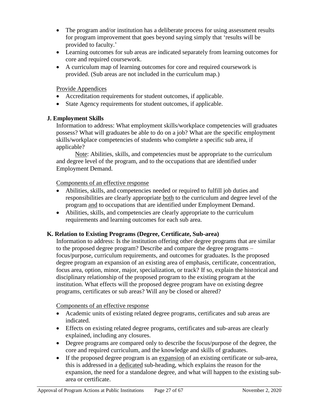- The program and/or institution has a deliberate process for using assessment results for program improvement that goes beyond saying simply that 'results will be provided to faculty.'
- Learning outcomes for sub areas are indicated separately from learning outcomes for core and required coursework.
- A curriculum map of learning outcomes for core and required coursework is provided. (Sub areas are not included in the curriculum map.)

Provide Appendices

- Accreditation requirements for student outcomes, if applicable.
- State Agency requirements for student outcomes, if applicable.

# <span id="page-27-0"></span>**J. Employment Skills**

Information to address: What employment skills/workplace competencies will graduates possess? What will graduates be able to do on a job? What are the specific employment skills/workplace competencies of students who complete a specific sub area, if applicable?

Note: Abilities, skills, and competencies must be appropriate to the curriculum and degree level of the program, and to the occupations that are identified under Employment Demand.

Components of an effective response

- Abilities, skills, and competencies needed or required to fulfill job duties and responsibilities are clearly appropriate both to the curriculum and degree level of the program and to occupations that are identified under Employment Demand.
- Abilities, skills, and competencies are clearly appropriate to the curriculum requirements and learning outcomes for each sub area.

# <span id="page-27-1"></span>**K. Relation to Existing Programs (Degree, Certificate, Sub-area)**

Information to address: Is the institution offering other degree programs that are similar to the proposed degree program? Describe and compare the degree programs – focus/purpose, curriculum requirements, and outcomes for graduates. Is the proposed degree program an expansion of an existing area of emphasis, certificate, concentration, focus area, option, minor, major, specialization, or track? If so, explain the historical and disciplinary relationship of the proposed program to the existing program at the institution. What effects will the proposed degree program have on existing degree programs, certificates or sub areas? Will any be closed or altered?

Components of an effective response

- Academic units of existing related degree programs, certificates and sub areas are indicated.
- Effects on existing related degree programs, certificates and sub-areas are clearly explained, including any closures.
- Degree programs are compared only to describe the focus/purpose of the degree, the core and required curriculum, and the knowledge and skills of graduates.
- If the proposed degree program is an expansion of an existing certificate or sub-area, this is addressed in a dedicated sub-heading, which explains the reason for the expansion, the need for a standalone degree, and what will happen to the existing subarea or certificate.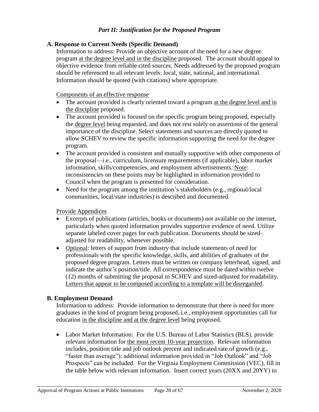# *Part II: Justification for the Proposed Program*

# <span id="page-28-1"></span><span id="page-28-0"></span>**A. Response to Current Needs (Specific Demand)**

Information to address: Provide an objective account of the need for a new degree program at the degree level and in the discipline proposed. The account should appeal to objective evidence from reliable cited sources. Needs addressed by the proposed program should be referenced to all relevant levels: local, state, national, and international. Information should be quoted (with citations) where appropriate.

### Components of an effective response

- The account provided is clearly oriented toward a program at the degree level and in the discipline proposed.
- The account provided is focused on the specific program being proposed, especially the degree level being requested, and does not rest solely on assertions of the general importance of the discipline. Select statements and sources are directly quoted to allow SCHEV to review the specific information supporting the need for the degree program.
- The account provided is consistent and mutually supportive with other components of the proposal—i.e., curriculum, licensure requirements (if applicable), labor market information, skills/competencies, and employment advertisements. Note: inconsistencies on these points may be highlighted in information provided to Council when the program is presented for consideration.
- Need for the program among the institution's stakeholders (e.g., regional/local communities, local/state industries) is described and documented.

# Provide Appendices

- Excerpts of publications (articles, books or documents) not available on the internet, particularly when quoted information provides supportive evidence of need. Utilize separate labeled cover pages for each publication. Documents should be sizedadjusted for readability, whenever possible.
- Optional: letters of support from industry that include statements of need for professionals with the specific knowledge, skills, and abilities of graduates of the proposed degree program. Letters must be written on company letterhead, signed, and indicate the author's position/title. All correspondence must be dated within twelve (12) months of submitting the proposal to SCHEV and sized-adjusted for readability. Letters that appear to be composed according to a template will be disregarded.

# <span id="page-28-2"></span>**B. Employment Demand**

Information to address: Provide information to demonstrate that there is need for more graduates in the kind of program being proposed, i.e., employment opportunities call for education in the discipline and at the degree level being proposed.

 Labor Market Information: For the U.S. Bureau of Labor Statistics (BLS), provide relevant information for the most recent 10-year projection. Relevant information includes, position title and job outlook percent and indicated rate of growth (e.g., "faster than average"); additional information provided in "Job Outlook" and "Job Prospects" can be included. For the Virginia Employment Commission (VEC), fill in the table below with relevant information. Insert correct years (20XX and 20YY) to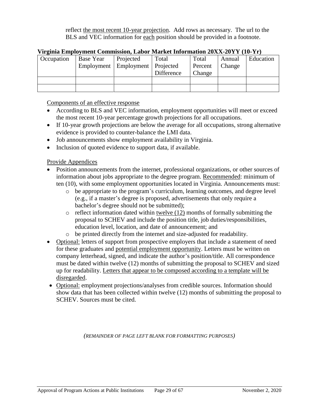reflect the most recent 10-year projection. Add rows as necessary. The url to the BLS and VEC information for each position should be provided in a footnote.

|            | у ненна Ениргоункиг сонинвэрт, Еарог глагист ниогианон 2011 2011 год тогто |                                     |            |         |        |           |
|------------|----------------------------------------------------------------------------|-------------------------------------|------------|---------|--------|-----------|
| Occupation | Base Year                                                                  | Projected                           | Total      | Total   | Annual | Education |
|            |                                                                            | Employment   Employment   Projected |            | Percent | Change |           |
|            |                                                                            |                                     | Difference | Change  |        |           |
|            |                                                                            |                                     |            |         |        |           |
|            |                                                                            |                                     |            |         |        |           |

# **Virginia Employment Commission, Labor Market Information 20XX-20YY (10-Yr)**

Components of an effective response

- According to BLS and VEC information, employment opportunities will meet or exceed the most recent 10-year percentage growth projections for all occupations.
- If 10-year growth projections are below the average for all occupations, strong alternative evidence is provided to counter-balance the LMI data.
- Job announcements show employment availability in Virginia.
- Inclusion of quoted evidence to support data, if available.

Provide Appendices

- Position announcements from the internet, professional organizations, or other sources of information about jobs appropriate to the degree program. Recommended: minimum of ten (10), with some employment opportunities located in Virginia. Announcements must:
	- o be appropriate to the program's curriculum, learning outcomes, and degree level (e.g., if a master's degree is proposed, advertisements that only require a bachelor's degree should not be submitted);
	- $\circ$  reflect information dated within twelve (12) months of formally submitting the proposal to SCHEV and include the position title, job duties/responsibilities, education level, location, and date of announcement; and
	- o be printed directly from the internet and size-adjusted for readability.
- Optional: letters of support from prospective employers that include a statement of need for these graduates and potential employment opportunity. Letters must be written on company letterhead, signed, and indicate the author's position/title. All correspondence must be dated within twelve (12) months of submitting the proposal to SCHEV and sized up for readability. Letters that appear to be composed according to a template will be disregarded.
- Optional: employment projections/analyses from credible sources. Information should show data that has been collected within twelve (12) months of submitting the proposal to SCHEV. Sources must be cited.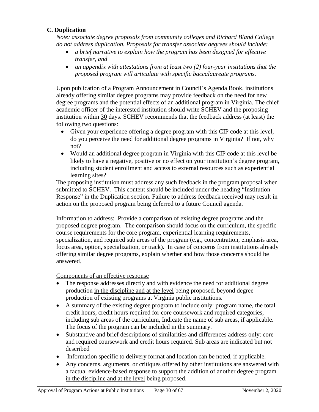# <span id="page-30-0"></span>**C. Duplication**

*Note: associate degree proposals from community colleges and Richard Bland College do not address duplication. Proposals for transfer associate degrees should include:*

- *a brief narrative to explain how the program has been designed for effective transfer, and*
- *an appendix with attestations from at least two (2) four-year institutions that the proposed program will articulate with specific baccalaureate programs.*

Upon publication of a Program Announcement in Council's Agenda Book, institutions already offering similar degree programs may provide feedback on the need for new degree programs and the potential effects of an additional program in Virginia. The chief academic officer of the interested institution should write SCHEV and the proposing institution within 30 days. SCHEV recommends that the feedback address (at least) the following two questions:

- Given your experience offering a degree program with this CIP code at this level, do you perceive the need for additional degree programs in Virginia? If not, why not?
- Would an additional degree program in Virginia with this CIP code at this level be likely to have a negative, positive or no effect on your institution's degree program, including student enrollment and access to external resources such as experiential learning sites?

The proposing institution must address any such feedback in the program proposal when submitted to SCHEV. This content should be included under the heading "Institution Response" in the Duplication section. Failure to address feedback received may result in action on the proposed program being deferred to a future Council agenda.

Information to address: Provide a comparison of existing degree programs and the proposed degree program. The comparison should focus on the curriculum, the specific course requirements for the core program, experiential learning requirements, specialization, and required sub areas of the program (e.g., concentration, emphasis area, focus area, option, specialization, or track). In case of concerns from institutions already offering similar degree programs, explain whether and how those concerns should be answered.

# Components of an effective response

- The response addresses directly and with evidence the need for additional degree production in the discipline and at the level being proposed, beyond degree production of existing programs at Virginia public institutions.
- A summary of the existing degree program to include only: program name, the total credit hours, credit hours required for core coursework and required categories, including sub areas of the curriculum, Indicate the name of sub areas, if applicable. The focus of the program can be included in the summary.
- Substantive and brief descriptions of similarities and differences address only: core and required coursework and credit hours required. Sub areas are indicated but not described
- Information specific to delivery format and location can be noted, if applicable.
- Any concerns, arguments, or critiques offered by other institutions are answered with a factual evidence-based response to support the addition of another degree program in the discipline and at the level being proposed.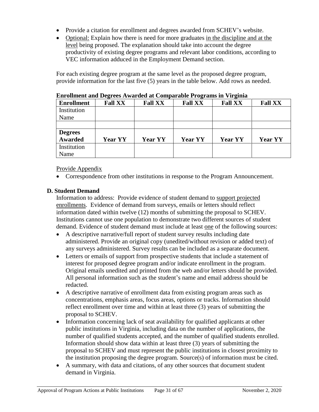- Provide a citation for enrollment and degrees awarded from SCHEV's website.
- Optional: Explain how there is need for more graduates in the discipline and at the level being proposed. The explanation should take into account the degree productivity of existing degree programs and relevant labor conditions, according to VEC information adduced in the Employment Demand section.

For each existing degree program at the same level as the proposed degree program, provide information for the last five (5) years in the table below. Add rows as needed.

| <b>Enrollment</b> | <b>Fall XX</b> | <b>Fall XX</b> | <b>Fall XX</b> | <b>Fall XX</b> | <b>Fall XX</b> |
|-------------------|----------------|----------------|----------------|----------------|----------------|
| Institution       |                |                |                |                |                |
| Name              |                |                |                |                |                |
|                   |                |                |                |                |                |
| <b>Degrees</b>    |                |                |                |                |                |
| <b>Awarded</b>    | <b>Year YY</b> | <b>Year YY</b> | <b>Year YY</b> | <b>Year YY</b> | <b>Year YY</b> |
| Institution       |                |                |                |                |                |
|                   |                |                |                |                |                |

#### **Enrollment and Degrees Awarded at Comparable Programs in Virginia**

Provide Appendix

Correspondence from other institutions in response to the Program Announcement.

# <span id="page-31-0"></span>**D. Student Demand**

Information to address: Provide evidence of student demand to support projected enrollments. Evidence of demand from surveys, emails or letters should reflect information dated within twelve (12) months of submitting the proposal to SCHEV. Institutions cannot use one population to demonstrate two different sources of student demand. Evidence of student demand must include at least one of the following sources:

- A descriptive narrative/full report of student survey results including date administered. Provide an original copy (unedited/without revision or added text) of any surveys administered. Survey results can be included as a separate document.
- Letters or emails of support from prospective students that include a statement of interest for proposed degree program and/or indicate enrollment in the program. Original emails unedited and printed from the web and/or letters should be provided. All personal information such as the student's name and email address should be redacted.
- A descriptive narrative of enrollment data from existing program areas such as concentrations, emphasis areas, focus areas, options or tracks. Information should reflect enrollment over time and within at least three (3) years of submitting the proposal to SCHEV.
- Information concerning lack of seat availability for qualified applicants at other public institutions in Virginia, including data on the number of applications, the number of qualified students accepted, and the number of qualified students enrolled. Information should show data within at least three (3) years of submitting the proposal to SCHEV and must represent the public institutions in closest proximity to the institution proposing the degree program. Source(s) of information must be cited.
- A summary, with data and citations, of any other sources that document student demand in Virginia.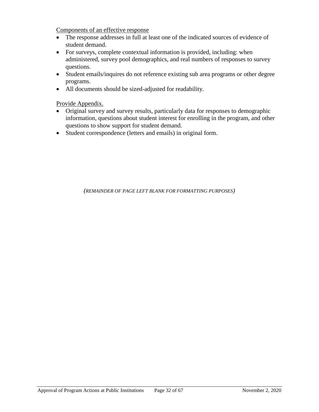Components of an effective response

- The response addresses in full at least one of the indicated sources of evidence of student demand.
- For surveys, complete contextual information is provided, including: when administered, survey pool demographics, and real numbers of responses to survey questions.
- Student emails/inquires do not reference existing sub area programs or other degree programs.
- All documents should be sized-adjusted for readability.

Provide Appendix.

- Original survey and survey results, particularly data for responses to demographic information, questions about student interest for enrolling in the program, and other questions to show support for student demand.
- Student correspondence (letters and emails) in original form.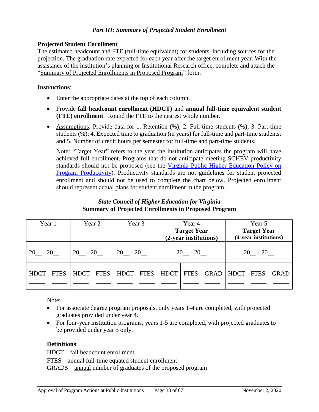### *Part III: Summary of Projected Student Enrollment*

# <span id="page-33-0"></span>**Projected Student Enrollment**

The estimated headcount and FTE (full-time equivalent) for students, including sources for the projection. The graduation rate expected for each year after the target enrollment year. With the assistance of the institution's planning or Institutional Research office, complete and attach the "Summary of Projected Enrollments in Proposed Program" form.

# **Instructions**:

- Enter the appropriate dates at the top of each column.
- Provide **fall headcount enrollment (HDCT)** and **annual full-time equivalent student (FTE) enrollment**. Round the FTE to the nearest whole number.
- Assumptions: Provide data for 1. Retention (%); 2. Full-time students (%); 3. Part-time students (%); 4. Expected time to graduation (in years) for full-time and part-time students; and 5. Number of credit hours per semester for full-time and part-time students.

Note: "Target Year" refers to the year the institution anticipates the program will have achieved full enrollment. Programs that do not anticipate meeting SCHEV productivity standards should not be proposed (see the [Virginia Public Higher Education Policy on](https://schev.edu/docs/default-source/institution-section/GuidancePolicy/policies-and-guidelines/program-productivity-policy-(review-of-academic-programs-viability).pdf)  [Program Productivity\)](https://schev.edu/docs/default-source/institution-section/GuidancePolicy/policies-and-guidelines/program-productivity-policy-(review-of-academic-programs-viability).pdf). Productivity standards are not guidelines for student projected enrollment and should not be used to complete the chart below. Projected enrollment should represent actual plans for student enrollment in the program.

# *State Council of Higher Education for Virginia* **Summary of Projected Enrollments in Proposed Program**

<span id="page-33-1"></span>

| Year 1      |             | Year 2      |             | Year 3      |             | Year 4<br><b>Target Year</b><br>(2-year institutions) |             |             | Year 5<br><b>Target Year</b><br>(4-year institutions) |             |      |
|-------------|-------------|-------------|-------------|-------------|-------------|-------------------------------------------------------|-------------|-------------|-------------------------------------------------------|-------------|------|
| $20 - 20$   |             | $20 - 20$   |             | $20 - 20$   |             | $20 - 20$                                             |             |             |                                                       | $20 - 20$   |      |
| <b>HDCT</b> | <b>FTES</b> | <b>HDCT</b> | <b>FTES</b> | <b>HDCT</b> | <b>FTES</b> | <b>HDCT</b>                                           | <b>FTES</b> | <b>GRAD</b> | <b>HDCT</b>                                           | <b>FTES</b> | GRAD |

Note:

- For associate degree program proposals, only years 1-4 are completed, with projected graduates provided under year 4.
- For four-year institution programs, years 1-5 are completed, with projected graduates to be provided under year 5 only.

# **Definitions**:

HDCT—fall headcount enrollment FTES—annual full-time equated student enrollment GRADS—annual number of graduates of the proposed program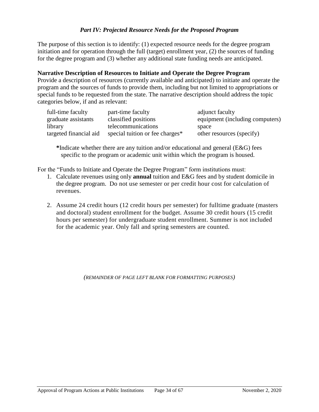# *Part IV: Projected Resource Needs for the Proposed Program*

<span id="page-34-0"></span>The purpose of this section is to identify: (1) expected resource needs for the degree program initiation and for operation through the full (target) enrollment year, (2) the sources of funding for the degree program and (3) whether any additional state funding needs are anticipated.

### **Narrative Description of Resources to Initiate and Operate the Degree Program**

Provide a description of resources (currently available and anticipated) to initiate and operate the program and the sources of funds to provide them, including but not limited to appropriations or special funds to be requested from the state. The narrative description should address the topic categories below, if and as relevant:

| full-time faculty      | part-time faculty               | adjunct faculty                 |
|------------------------|---------------------------------|---------------------------------|
| graduate assistants    | classified positions            | equipment (including computers) |
| library                | telecommunications              | space                           |
| targeted financial aid | special tuition or fee charges* | other resources (specify)       |

**\***Indicate whether there are any tuition and/or educational and general (E&G) fees specific to the program or academic unit within which the program is housed.

For the "Funds to Initiate and Operate the Degree Program" form institutions must:

- 1. Calculate revenues using only **annual** tuition and E&G fees and by student domicile in the degree program. Do not use semester or per credit hour cost for calculation of revenues.
- 2. Assume 24 credit hours (12 credit hours per semester) for fulltime graduate (masters and doctoral) student enrollment for the budget. Assume 30 credit hours (15 credit hours per semester) for undergraduate student enrollment. Summer is not included for the academic year. Only fall and spring semesters are counted.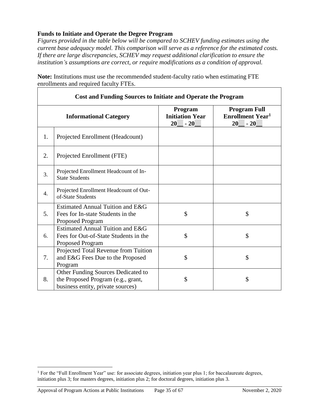# <span id="page-35-0"></span>**Funds to Initiate and Operate the Degree Program**

*Figures provided in the table below will be compared to SCHEV funding estimates using the current base adequacy model. This comparison will serve as a reference for the estimated costs. If there are large discrepancies, SCHEV may request additional clarification to ensure the institution's assumptions are correct, or require modifications as a condition of approval.* 

|    | <b>Cost and Funding Sources to Initiate and Operate the Program</b>                                           |                                                  |                                                                          |  |  |  |
|----|---------------------------------------------------------------------------------------------------------------|--------------------------------------------------|--------------------------------------------------------------------------|--|--|--|
|    | <b>Informational Category</b>                                                                                 | Program<br><b>Initiation Year</b><br>20<br>$-20$ | <b>Program Full</b><br><b>Enrollment Year<sup>1</sup></b><br>20<br>$-20$ |  |  |  |
| 1. | Projected Enrollment (Headcount)                                                                              |                                                  |                                                                          |  |  |  |
| 2. | Projected Enrollment (FTE)                                                                                    |                                                  |                                                                          |  |  |  |
| 3. | Projected Enrollment Headcount of In-<br><b>State Students</b>                                                |                                                  |                                                                          |  |  |  |
| 4. | Projected Enrollment Headcount of Out-<br>of-State Students                                                   |                                                  |                                                                          |  |  |  |
| 5. | Estimated Annual Tuition and E&G<br>Fees for In-state Students in the<br><b>Proposed Program</b>              | \$                                               | \$                                                                       |  |  |  |
| 6. | Estimated Annual Tuition and E&G<br>Fees for Out-of-State Students in the<br><b>Proposed Program</b>          | \$                                               | \$                                                                       |  |  |  |
| 7. | Projected Total Revenue from Tuition<br>and E&G Fees Due to the Proposed<br>Program                           | \$                                               | \$                                                                       |  |  |  |
| 8. | Other Funding Sources Dedicated to<br>the Proposed Program (e.g., grant,<br>business entity, private sources) | \$                                               | \$                                                                       |  |  |  |

**Note:** Institutions must use the recommended student-faculty ratio when estimating FTE enrollments and required faculty FTEs.

 $\overline{a}$ 

<sup>1</sup> For the "Full Enrollment Year" use: for associate degrees, initiation year plus 1; for baccalaureate degrees, initiation plus 3; for masters degrees, initiation plus 2; for doctoral degrees, initiation plus 3.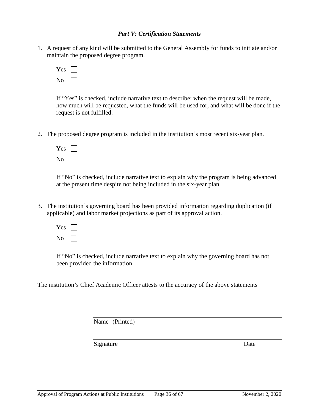#### *Part V: Certification Statements*

<span id="page-36-0"></span>1. A request of any kind will be submitted to the General Assembly for funds to initiate and/or maintain the proposed degree program.

| Y es         |  |
|--------------|--|
| C<br>۱ı<br>r |  |

If "Yes" is checked, include narrative text to describe: when the request will be made, how much will be requested, what the funds will be used for, and what will be done if the request is not fulfilled.

2. The proposed degree program is included in the institution's most recent six-year plan.

| Y es          |  |
|---------------|--|
| N<br>$\Omega$ |  |

If "No" is checked, include narrative text to explain why the program is being advanced at the present time despite not being included in the six-year plan.

3. The institution's governing board has been provided information regarding duplication (if applicable) and labor market projections as part of its approval action.

| Y<br>es      |  |
|--------------|--|
| J٢<br>D<br>г |  |

If "No" is checked, include narrative text to explain why the governing board has not been provided the information.

The institution's Chief Academic Officer attests to the accuracy of the above statements

Name (Printed)

Signature Date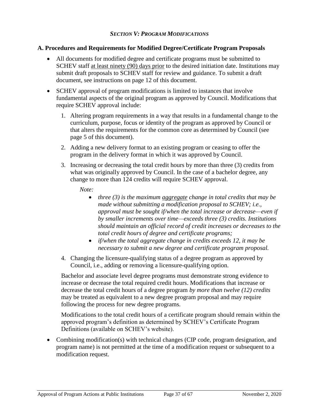### *SECTION V: PROGRAM MODIFICATIONS*

### <span id="page-37-1"></span><span id="page-37-0"></span>**A. Procedures and Requirements for Modified Degree/Certificate Program Proposals**

- All documents for modified degree and certificate programs must be submitted to SCHEV staff at least ninety (90) days prior to the desired initiation date. Institutions may submit draft proposals to SCHEV staff for review and guidance. To submit a draft document, see instructions on page 12 of this document.
- SCHEV approval of program modifications is limited to instances that involve fundamental aspects of the original program as approved by Council. Modifications that require SCHEV approval include:
	- 1. Altering program requirements in a way that results in a fundamental change to the curriculum, purpose, focus or identity of the program as approved by Council or that alters the requirements for the common core as determined by Council (see page 5 of this document).
	- 2. Adding a new delivery format to an existing program or ceasing to offer the program in the delivery format in which it was approved by Council.
	- 3. Increasing or decreasing the total credit hours by more than three (3) credits from what was originally approved by Council. In the case of a bachelor degree, any change to more than 124 credits will require SCHEV approval.

*Note:*

- *three (3) is the maximum aggregate change in total credits that may be made without submitting a modification proposal to SCHEV; i.e., approval must be sought if/when the total increase or decrease—even if by smaller increments over time—exceeds three (3) credits. Institutions should maintain an official record of credit increases or decreases to the total credit hours of degree and certificate programs;*
- *if/when the total aggregate change in credits exceeds 12, it may be necessary to submit a new degree and certificate program proposal.*
- 4. Changing the licensure-qualifying status of a degree program as approved by Council, i.e., adding or removing a licensure-qualifying option.

Bachelor and associate level degree programs must demonstrate strong evidence to increase or decrease the total required credit hours. Modifications that increase or decrease the total credit hours of a degree program *by more than twelve (12) credits* may be treated as equivalent to a new degree program proposal and may require following the process for new degree programs.

Modifications to the total credit hours of a certificate program should remain within the approved program's definition as determined by SCHEV's Certificate Program Definitions (available on SCHEV's website).

• Combining modification(s) with technical changes (CIP code, program designation, and program name) is not permitted at the time of a modification request or subsequent to a modification request.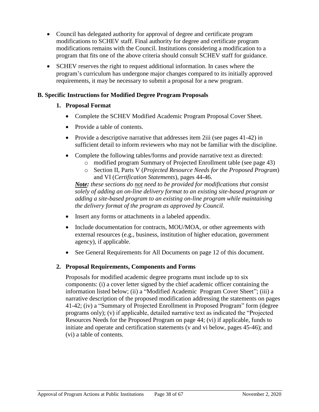- Council has delegated authority for approval of degree and certificate program modifications to SCHEV staff. Final authority for degree and certificate program modifications remains with the Council. Institutions considering a modification to a program that fits one of the above criteria should consult SCHEV staff for guidance.
- SCHEV reserves the right to request additional information. In cases where the program's curriculum has undergone major changes compared to its initially approved requirements, it may be necessary to submit a proposal for a new program.

# <span id="page-38-0"></span>**B. Specific Instructions for Modified Degree Program Proposals**

# **1. Proposal Format**

- Complete the SCHEV Modified Academic Program Proposal Cover Sheet.
- Provide a table of contents.
- Provide a descriptive narrative that addresses item  $2$ iii (see pages  $41-42$ ) in sufficient detail to inform reviewers who may not be familiar with the discipline.
- Complete the following tables/forms and provide narrative text as directed:
	- o modified program Summary of Projected Enrollment table (see page 43)
	- o Section II, Parts V (*Projected Resource Needs for the Proposed Program*) and VI (*Certification Statements*), pages 44-46.

*Note: these sections do not need to be provided for modifications that consist solely of adding an on-line delivery format to an existing site-based program or adding a site-based program to an existing on-line program while maintaining the delivery format of the program as approved by Council.*

- Insert any forms or attachments in a labeled appendix.
- Include documentation for contracts, MOU/MOA, or other agreements with external resources (e.g., business, institution of higher education, government agency), if applicable.
- See General Requirements for All Documents on page 12 of this document.

# **2. Proposal Requirements, Components and Forms**

Proposals for modified academic degree programs must include up to six components: (i) a cover letter signed by the chief academic officer containing the information listed below; (ii) a "Modified Academic Program Cover Sheet"; (iii) a narrative description of the proposed modification addressing the statements on pages 41-42; (iv) a "Summary of Projected Enrollment in Proposed Program" form (degree programs only); (v) if applicable, detailed narrative text as indicated the "Projected Resources Needs for the Proposed Program on page 44; (vi) if applicable, funds to initiate and operate and certification statements (v and vi below, pages 45-46); and (vi) a table of contents.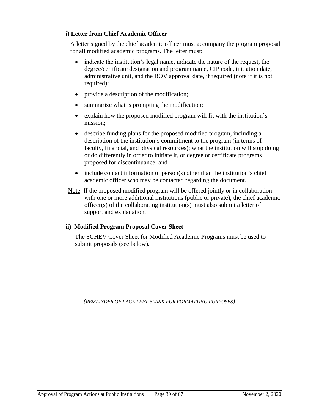# **i) Letter from Chief Academic Officer**

A letter signed by the chief academic officer must accompany the program proposal for all modified academic programs. The letter must:

- indicate the institution's legal name, indicate the nature of the request, the degree/certificate designation and program name, CIP code, initiation date, administrative unit, and the BOV approval date, if required (note if it is not required);
- provide a description of the modification;
- summarize what is prompting the modification;
- explain how the proposed modified program will fit with the institution's mission;
- describe funding plans for the proposed modified program, including a description of the institution's commitment to the program (in terms of faculty, financial, and physical resources); what the institution will stop doing or do differently in order to initiate it, or degree or certificate programs proposed for discontinuance; and
- $\bullet$  include contact information of person(s) other than the institution's chief academic officer who may be contacted regarding the document.
- Note: If the proposed modified program will be offered jointly or in collaboration with one or more additional institutions (public or private), the chief academic officer(s) of the collaborating institution(s) must also submit a letter of support and explanation.

# **ii) Modified Program Proposal Cover Sheet**

The SCHEV Cover Sheet for Modified Academic Programs must be used to submit proposals (see below).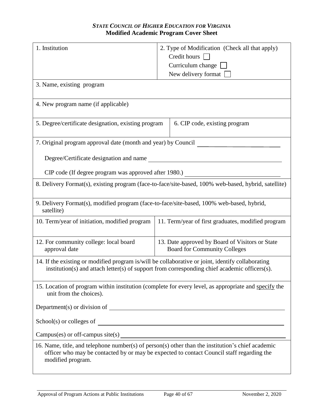# *STATE COUNCIL OF HIGHER EDUCATION FOR VIRGINIA* **Modified Academic Program Cover Sheet**

<span id="page-40-0"></span>

| 1. Institution                                                                                                                                                                                                      | 2. Type of Modification (Check all that apply)                                                       |  |  |  |  |
|---------------------------------------------------------------------------------------------------------------------------------------------------------------------------------------------------------------------|------------------------------------------------------------------------------------------------------|--|--|--|--|
|                                                                                                                                                                                                                     | Credit hours                                                                                         |  |  |  |  |
|                                                                                                                                                                                                                     | Curriculum change                                                                                    |  |  |  |  |
|                                                                                                                                                                                                                     | New delivery format                                                                                  |  |  |  |  |
| 3. Name, existing program                                                                                                                                                                                           |                                                                                                      |  |  |  |  |
| 4. New program name (if applicable)                                                                                                                                                                                 |                                                                                                      |  |  |  |  |
| 5. Degree/certificate designation, existing program                                                                                                                                                                 | 6. CIP code, existing program                                                                        |  |  |  |  |
| 7. Original program approval date (month and year) by Council                                                                                                                                                       |                                                                                                      |  |  |  |  |
| Degree/Certificate designation and name                                                                                                                                                                             |                                                                                                      |  |  |  |  |
| CIP code (If degree program was approved after 1980.)                                                                                                                                                               |                                                                                                      |  |  |  |  |
|                                                                                                                                                                                                                     | 8. Delivery Format(s), existing program (face-to-face/site-based, 100% web-based, hybrid, satellite) |  |  |  |  |
| 9. Delivery Format(s), modified program (face-to-face/site-based, 100% web-based, hybrid,<br>satellite)                                                                                                             |                                                                                                      |  |  |  |  |
| 10. Term/year of initiation, modified program                                                                                                                                                                       | 11. Term/year of first graduates, modified program                                                   |  |  |  |  |
| 12. For community college: local board<br>approval date                                                                                                                                                             | 13. Date approved by Board of Visitors or State<br><b>Board for Community Colleges</b>               |  |  |  |  |
| 14. If the existing or modified program is/will be collaborative or joint, identify collaborating                                                                                                                   | institution(s) and attach letter(s) of support from corresponding chief academic officers(s).        |  |  |  |  |
| 15. Location of program within institution (complete for every level, as appropriate and specify the<br>unit from the choices).                                                                                     |                                                                                                      |  |  |  |  |
|                                                                                                                                                                                                                     |                                                                                                      |  |  |  |  |
| School(s) or colleges of                                                                                                                                                                                            |                                                                                                      |  |  |  |  |
|                                                                                                                                                                                                                     |                                                                                                      |  |  |  |  |
| 16. Name, title, and telephone number(s) of person(s) other than the institution's chief academic<br>officer who may be contacted by or may be expected to contact Council staff regarding the<br>modified program. |                                                                                                      |  |  |  |  |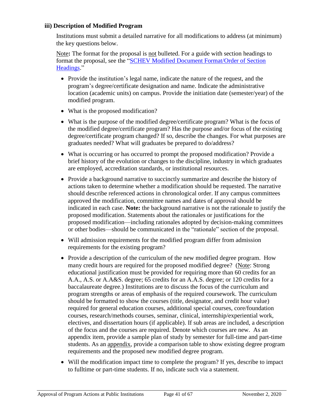# **iii) Description of Modified Program**

Institutions must submit a detailed narrative for all modifications to address (at minimum) the key questions below.

Note: The format for the proposal is <u>not</u> bulleted. For a guide with section headings to format the proposal, see the ["SCHEV Modified Document Format/Order of Section](https://schev.edu/docs/default-source/institution-section/GuidancePolicy/guide-documents/guide-documentformodifieddegreeprogramdocumentformatheadings-1.pdf)  [Headings.](https://schev.edu/docs/default-source/institution-section/GuidancePolicy/guide-documents/guide-documentformodifieddegreeprogramdocumentformatheadings-1.pdf)"

- Provide the institution's legal name, indicate the nature of the request, and the program's degree/certificate designation and name. Indicate the administrative location (academic units) on campus. Provide the initiation date (semester/year) of the modified program.
- What is the proposed modification?
- What is the purpose of the modified degree/certificate program? What is the focus of the modified degree/certificate program? Has the purpose and/or focus of the existing degree/certificate program changed? If so, describe the changes. For what purposes are graduates needed? What will graduates be prepared to do/address?
- What is occurring or has occurred to prompt the proposed modification? Provide a brief history of the evolution or changes to the discipline, industry in which graduates are employed, accreditation standards, or institutional resources.
- Provide a background narrative to succinctly summarize and describe the history of actions taken to determine whether a modification should be requested. The narrative should describe referenced actions in chronological order. If any campus committees approved the modification, committee names and dates of approval should be indicated in each case. **Note:** the background narrative is not the rationale to justify the proposed modification. Statements about the rationales or justifications for the proposed modification—including rationales adopted by decision-making committees or other bodies—should be communicated in the "rationale" section of the proposal.
- Will admission requirements for the modified program differ from admission requirements for the existing program?
- Provide a description of the curriculum of the new modified degree program. How many credit hours are required for the proposed modified degree? (Note: Strong educational justification must be provided for requiring more than 60 credits for an A.A., A.S. or A.A&S. degree; 65 credits for an A.A.S. degree; or 120 credits for a baccalaureate degree.) Institutions are to discuss the focus of the curriculum and program strengths or areas of emphasis of the required coursework. The curriculum should be formatted to show the courses (title, designator, and credit hour value) required for general education courses, additional special courses, core/foundation courses, research/methods courses, seminar, clinical, internship/experiential work, electives, and dissertation hours (if applicable). If sub areas are included, a description of the focus and the courses are required. Denote which courses are new. As an appendix item, provide a sample plan of study by semester for full-time and part-time students. As an appendix, provide a comparison table to show existing degree program requirements and the proposed new modified degree program.
- Will the modification impact time to complete the program? If yes, describe to impact to fulltime or part-time students. If no, indicate such via a statement.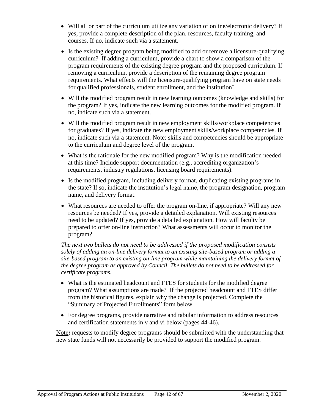- Will all or part of the curriculum utilize any variation of online/electronic delivery? If yes, provide a complete description of the plan, resources, faculty training, and courses. If no, indicate such via a statement.
- Is the existing degree program being modified to add or remove a licensure-qualifying curriculum? If adding a curriculum, provide a chart to show a comparison of the program requirements of the existing degree program and the proposed curriculum. If removing a curriculum, provide a description of the remaining degree program requirements. What effects will the licensure-qualifying program have on state needs for qualified professionals, student enrollment, and the institution?
- Will the modified program result in new learning outcomes (knowledge and skills) for the program? If yes, indicate the new learning outcomes for the modified program. If no, indicate such via a statement.
- Will the modified program result in new employment skills/workplace competencies for graduates? If yes, indicate the new employment skills/workplace competencies. If no, indicate such via a statement. Note: skills and competencies should be appropriate to the curriculum and degree level of the program.
- What is the rationale for the new modified program? Why is the modification needed at this time? Include support documentation (e.g., accrediting organization's requirements, industry regulations, licensing board requirements).
- Is the modified program, including delivery format, duplicating existing programs in the state? If so, indicate the institution's legal name, the program designation, program name, and delivery format.
- What resources are needed to offer the program on-line, if appropriate? Will any new resources be needed? If yes, provide a detailed explanation. Will existing resources need to be updated? If yes, provide a detailed explanation. How will faculty be prepared to offer on-line instruction? What assessments will occur to monitor the program?

The next two bullets do not need to be addressed if the proposed modification consists *solely of adding an on-line delivery format to an existing site-based program or adding a site-based program to an existing on-line program while maintaining the delivery format of the degree program as approved by Council. The bullets do not need to be addressed for certificate programs.*

- What is the estimated headcount and FTES for students for the modified degree program? What assumptions are made? If the projected headcount and FTES differ from the historical figures, explain why the change is projected. Complete the "Summary of Projected Enrollments" form below.
- For degree programs, provide narrative and tabular information to address resources and certification statements in v and vi below (pages 44-46).

Note**:** requests to modify degree programs should be submitted with the understanding that new state funds will not necessarily be provided to support the modified program.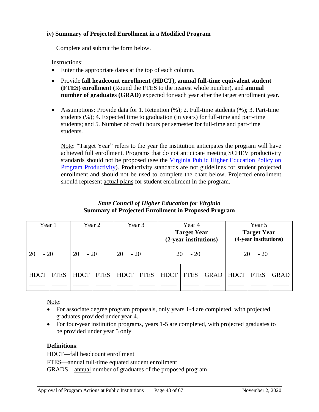### **iv) Summary of Projected Enrollment in a Modified Program**

Complete and submit the form below.

Instructions:

- Enter the appropriate dates at the top of each column.
- Provide **fall headcount enrollment (HDCT), annual full-time equivalent student (FTES) enrollment (**Round the FTES to the nearest whole number), and **annual number of graduates (GRAD)** expected for each year after the target enrollment year.
- Assumptions: Provide data for 1. Retention  $(\%)$ ; 2. Full-time students  $(\%)$ ; 3. Part-time students (%); 4. Expected time to graduation (in years) for full-time and part-time students; and 5. Number of credit hours per semester for full-time and part-time students.

Note: "Target Year" refers to the year the institution anticipates the program will have achieved full enrollment. Programs that do not anticipate meeting SCHEV productivity standards should not be proposed (see the [Virginia Public Higher Education Policy on](https://schev.edu/docs/default-source/institution-section/GuidancePolicy/policies-and-guidelines/program-productivity-policy-(review-of-academic-programs-viability).pdf)  [Program Productivity\)](https://schev.edu/docs/default-source/institution-section/GuidancePolicy/policies-and-guidelines/program-productivity-policy-(review-of-academic-programs-viability).pdf). Productivity standards are not guidelines for student projected enrollment and should not be used to complete the chart below. Projected enrollment should represent actual plans for student enrollment in the program.

### *State Council of Higher Education for Virginia* **Summary of Projected Enrollment in Proposed Program**

<span id="page-43-0"></span>

| Year 1      |             | Year 2      |             | Year 3      |             | Year 4<br><b>Target Year</b><br>(2-year institutions) |             |             | Year 5<br><b>Target Year</b><br>(4-year institutions) |             |             |
|-------------|-------------|-------------|-------------|-------------|-------------|-------------------------------------------------------|-------------|-------------|-------------------------------------------------------|-------------|-------------|
| $20 - 20$   |             | $20 - 20$   |             | $20 - 20$   |             | $20 - 20$                                             |             |             | $20 - 20$                                             |             |             |
| <b>HDCT</b> | <b>FTES</b> | <b>HDCT</b> | <b>FTES</b> | <b>HDCT</b> | <b>FTES</b> | <b>HDCT</b>                                           | <b>FTES</b> | <b>GRAD</b> | <b>HDCT</b>                                           | <b>FTES</b> | <b>GRAD</b> |

Note:

- For associate degree program proposals, only years 1-4 are completed, with projected graduates provided under year 4.
- For four-year institution programs, years 1-5 are completed, with projected graduates to be provided under year 5 only.

# **Definitions**:

HDCT—fall headcount enrollment

FTES—annual full-time equated student enrollment

GRADS—annual number of graduates of the proposed program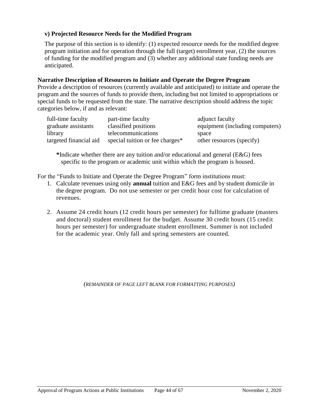# **v) Projected Resource Needs for the Modified Program**

The purpose of this section is to identify: (1) expected resource needs for the modified degree program initiation and for operation through the full (target) enrollment year, (2) the sources of funding for the modified program and (3) whether any additional state funding needs are anticipated.

# **Narrative Description of Resources to Initiate and Operate the Degree Program**

Provide a description of resources (currently available and anticipated) to initiate and operate the program and the sources of funds to provide them, including but not limited to appropriations or special funds to be requested from the state. The narrative description should address the topic categories below, if and as relevant:

| full-time faculty      | part-time faculty               | adjunct faculty                 |
|------------------------|---------------------------------|---------------------------------|
| graduate assistants    | classified positions            | equipment (including computers) |
| library                | telecommunications              | space                           |
| targeted financial aid | special tuition or fee charges* | other resources (specify)       |

**\***Indicate whether there are any tuition and/or educational and general (E&G) fees specific to the program or academic unit within which the program is housed.

For the "Funds to Initiate and Operate the Degree Program" form institutions must:

- 1. Calculate revenues using only **annual** tuition and E&G fees and by student domicile in the degree program. Do not use semester or per credit hour cost for calculation of revenues.
- 2. Assume 24 credit hours (12 credit hours per semester) for fulltime graduate (masters and doctoral) student enrollment for the budget. Assume 30 credit hours (15 credit hours per semester) for undergraduate student enrollment. Summer is not included for the academic year. Only fall and spring semesters are counted.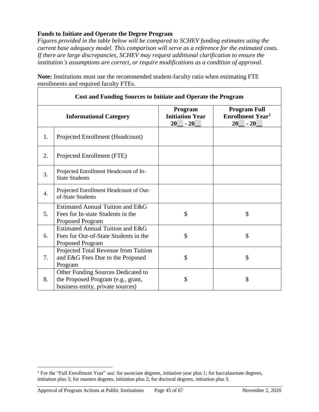# <span id="page-45-0"></span>**Funds to Initiate and Operate the Degree Program**

*Figures provided in the table below will be compared to SCHEV funding estimates using the current base adequacy model. This comparison will serve as a reference for the estimated costs. If there are large discrepancies, SCHEV may request additional clarification to ensure the institution's assumptions are correct, or require modifications as a condition of approval.* 

|    | <b>Cost and Funding Sources to Initiate and Operate the Program</b>                                           |                                                  |                                                                          |  |  |  |  |
|----|---------------------------------------------------------------------------------------------------------------|--------------------------------------------------|--------------------------------------------------------------------------|--|--|--|--|
|    | <b>Informational Category</b>                                                                                 | Program<br><b>Initiation Year</b><br>20<br>$-20$ | <b>Program Full</b><br><b>Enrollment Year<sup>1</sup></b><br>20<br>$-20$ |  |  |  |  |
| 1. | Projected Enrollment (Headcount)                                                                              |                                                  |                                                                          |  |  |  |  |
| 2. | Projected Enrollment (FTE)                                                                                    |                                                  |                                                                          |  |  |  |  |
| 3. | Projected Enrollment Headcount of In-<br><b>State Students</b>                                                |                                                  |                                                                          |  |  |  |  |
| 4. | Projected Enrollment Headcount of Out-<br>of-State Students                                                   |                                                  |                                                                          |  |  |  |  |
| 5. | Estimated Annual Tuition and E&G<br>Fees for In-state Students in the<br>Proposed Program                     | \$                                               | \$                                                                       |  |  |  |  |
| 6. | Estimated Annual Tuition and E&G<br>Fees for Out-of-State Students in the<br><b>Proposed Program</b>          | \$                                               | \$                                                                       |  |  |  |  |
| 7. | Projected Total Revenue from Tuition<br>and E&G Fees Due to the Proposed<br>Program                           | \$                                               | \$                                                                       |  |  |  |  |
| 8. | Other Funding Sources Dedicated to<br>the Proposed Program (e.g., grant,<br>business entity, private sources) | \$                                               | \$                                                                       |  |  |  |  |

**Note:** Institutions must use the recommended student-faculty ratio when estimating FTE enrollments and required faculty FTEs.

 $\overline{a}$ 

<sup>1</sup> For the "Full Enrollment Year" use: for associate degrees, initiation year plus 1; for baccalaureate degrees, initiation plus 3; for masters degrees, initiation plus 2; for doctoral degrees, initiation plus 3.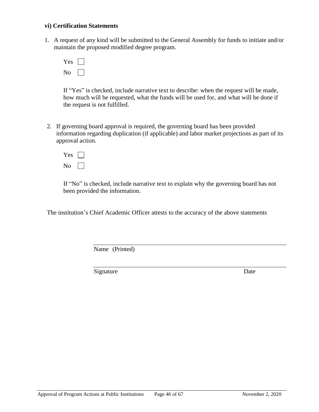#### **vi) Certification Statements**

1. A request of any kind will be submitted to the General Assembly for funds to initiate and/or maintain the proposed modified degree program.

| US |  |
|----|--|
|    |  |

If "Yes" is checked, include narrative text to describe: when the request will be made, how much will be requested, what the funds will be used for, and what will be done if the request is not fulfilled.

2. If governing board approval is required, the governing board has been provided information regarding duplication (if applicable) and labor market projections as part of its approval action.



If "No" is checked, include narrative text to explain why the governing board has not been provided the information.

The institution's Chief Academic Officer attests to the accuracy of the above statements

Name (Printed)

Signature Date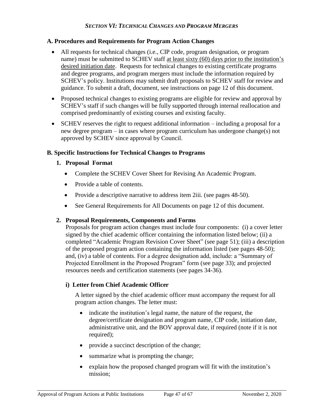### *SECTION VI: TECHNICAL CHANGES AND PROGRAM MERGERS*

### <span id="page-47-1"></span><span id="page-47-0"></span>**A. Procedures and Requirements for Program Action Changes**

- All requests for technical changes (i.e., CIP code, program designation, or program name) must be submitted to SCHEV staff at least sixty (60) days prior to the institution's desired initiation date. Requests for technical changes to existing certificate programs and degree programs, and program mergers must include the information required by SCHEV's policy. Institutions may submit draft proposals to SCHEV staff for review and guidance. To submit a draft, document, see instructions on page 12 of this document.
- Proposed technical changes to existing programs are eligible for review and approval by SCHEV's staff if such changes will be fully supported through internal reallocation and comprised predominantly of existing courses and existing faculty.
- SCHEV reserves the right to request additional information including a proposal for a new degree program – in cases where program curriculum has undergone change(s) not approved by SCHEV since approval by Council.

### <span id="page-47-2"></span>**B. Specific Instructions for Technical Changes to Programs**

### **1. Proposal Format**

- Complete the SCHEV Cover Sheet for Revising An Academic Program.
- Provide a table of contents.
- Provide a descriptive narrative to address item 2iii. (see pages 48-50).
- See General Requirements for All Documents on page 12 of this document.

# **2. Proposal Requirements, Components and Forms**

Proposals for program action changes must include four components: (i) a cover letter signed by the chief academic officer containing the information listed below; (ii) a completed "Academic Program Revision Cover Sheet" (see page 51); (iii) a description of the proposed program action containing the information listed (see pages 48-50); and, (iv) a table of contents. For a degree designation add, include: a "Summary of Projected Enrollment in the Proposed Program" form (see page 33); and projected resources needs and certification statements (see pages 34-36).

# **i) Letter from Chief Academic Officer**

A letter signed by the chief academic officer must accompany the request for all program action changes. The letter must:

- indicate the institution's legal name, the nature of the request, the degree/certificate designation and program name, CIP code, initiation date, administrative unit, and the BOV approval date, if required (note if it is not required);
- provide a succinct description of the change;
- summarize what is prompting the change;
- explain how the proposed changed program will fit with the institution's mission;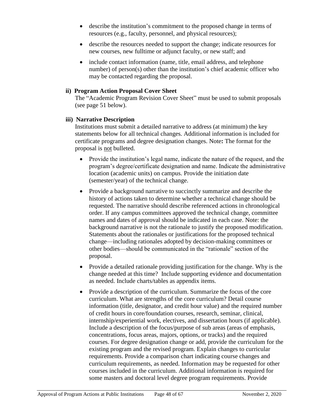- describe the institution's commitment to the proposed change in terms of resources (e.g., faculty, personnel, and physical resources);
- describe the resources needed to support the change; indicate resources for new courses, new fulltime or adjunct faculty, or new staff; and
- include contact information (name, title, email address, and telephone number) of person(s) other than the institution's chief academic officer who may be contacted regarding the proposal.

# **ii) Program Action Proposal Cover Sheet**

The "Academic Program Revision Cover Sheet" must be used to submit proposals (see page 51 below).

# **iii) Narrative Description**

Institutions must submit a detailed narrative to address (at minimum) the key statements below for all technical changes. Additional information is included for certificate programs and degree designation changes. Note**:** The format for the proposal is not bulleted.

- Provide the institution's legal name, indicate the nature of the request, and the program's degree/certificate designation and name. Indicate the administrative location (academic units) on campus. Provide the initiation date (semester/year) of the technical change.
- Provide a background narrative to succinctly summarize and describe the history of actions taken to determine whether a technical change should be requested. The narrative should describe referenced actions in chronological order. If any campus committees approved the technical change, committee names and dates of approval should be indicated in each case. Note: the background narrative is not the rationale to justify the proposed modification. Statements about the rationales or justifications for the proposed technical change—including rationales adopted by decision-making committees or other bodies—should be communicated in the "rationale" section of the proposal.
- Provide a detailed rationale providing justification for the change. Why is the change needed at this time? Include supporting evidence and documentation as needed. Include charts/tables as appendix items.
- Provide a description of the curriculum. Summarize the focus of the core curriculum. What are strengths of the core curriculum? Detail course information (title, designator, and credit hour value) and the required number of credit hours in core/foundation courses, research, seminar, clinical, internship/experiential work, electives, and dissertation hours (if applicable). Include a description of the focus/purpose of sub areas (areas of emphasis, concentrations, focus areas, majors, options, or tracks) and the required courses. For degree designation change or add, provide the curriculum for the existing program and the revised program. Explain changes to curricular requirements. Provide a comparison chart indicating course changes and curriculum requirements, as needed. Information may be requested for other courses included in the curriculum. Additional information is required for some masters and doctoral level degree program requirements. Provide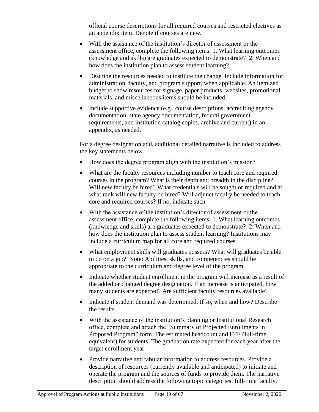official course descriptions for all required courses and restricted electives as an appendix item. Denote if courses are new.

- With the assistance of the institution's director of assessment or the assessment office, complete the following items: 1. What learning outcomes (knowledge and skills) are graduates expected to demonstrate? 2. When and how does the institution plan to assess student learning?
- Describe the resources needed to institute the change. Include information for administration, faculty, and program support, when applicable. An itemized budget to show resources for signage, paper products, websites, promotional materials, and miscellaneous items should be included.
- Include supportive evidence (e.g., course descriptions, accrediting agency documentation, state agency documentation, federal government requirements, and institution catalog copies, archive and current) in an appendix, as needed.

For a degree designation add, additional detailed narrative is included to address the key statements below.

- How does the degree program align with the institution's mission?
- What are the faculty resources including number to teach core and required courses in the program? What is their depth and breadth in the discipline? Will new faculty be hired? What credentials will be sought or required and at what rank will new faculty be hired? Will adjunct faculty be needed to teach core and required courses? If no, indicate such.
- With the assistance of the institution's director of assessment or the assessment office, complete the following items: 1. What learning outcomes (knowledge and skills) are graduates expected to demonstrate? 2. When and how does the institution plan to assess student learning? Institutions may include a curriculum map for all core and required courses.
- What employment skills will graduates possess? What will graduates be able to do on a job? Note: Abilities, skills, and competencies should be appropriate to the curriculum and degree level of the program.
- Indicate whether student enrollment in the program will increase as a result of the added or changed degree designation. If an increase is anticipated, how many students are expected? Are sufficient faculty resources available?
- Indicate if student demand was determined. If so, when and how? Describe the results.
- With the assistance of the institution's planning or Institutional Research office, complete and attach the "Summary of Projected Enrollments in Proposed Program" form. The estimated headcount and FTE (full-time equivalent) for students. The graduation rate expected for each year after the target enrollment year.
- Provide narrative and tabular information to address resources. Provide a description of resources (currently available and anticipated) to initiate and operate the program and the sources of funds to provide them. The narrative description should address the following topic categories: full-time faculty,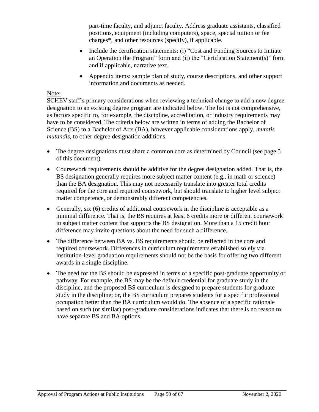part-time faculty, and adjunct faculty. Address graduate assistants, classified positions, equipment (including computers), space, special tuition or fee charges\*, and other resources (specify), if applicable.

- Include the certification statements: (i) "Cost and Funding Sources to Initiate an Operation the Program" form and (ii) the "Certification Statement(s)" form and if applicable, narrative text.
- Appendix items: sample plan of study, course descriptions, and other support information and documents as needed.

# Note:

SCHEV staff's primary considerations when reviewing a technical change to add a new degree designation to an existing degree program are indicated below. The list is not comprehensive, as factors specific to, for example, the discipline, accreditation, or industry requirements may have to be considered. The criteria below are written in terms of adding the Bachelor of Science (BS) to a Bachelor of Arts (BA), however applicable considerations apply, *mutatis mutandis*, to other degree designation additions.

- The degree designations must share a common core as determined by Council (see page 5 of this document).
- Coursework requirements should be additive for the degree designation added. That is, the BS designation generally requires more subject matter content (e.g., in math or science) than the BA designation. This may not necessarily translate into greater total credits required for the core and required coursework, but should translate to higher level subject matter competence, or demonstrably different competencies.
- Generally, six (6) credits of additional coursework in the discipline is acceptable as a minimal difference. That is, the BS requires at least 6 credits more or different coursework in subject matter content that supports the BS designation. More than a 15 credit hour difference may invite questions about the need for such a difference.
- The difference between BA vs. BS requirements should be reflected in the core and required coursework. Differences in curriculum requirements established solely via institution-level graduation requirements should not be the basis for offering two different awards in a single discipline.
- The need for the BS should be expressed in terms of a specific post-graduate opportunity or pathway. For example, the BS may be the default credential for graduate study in the discipline, and the proposed BS curriculum is designed to prepare students for graduate study in the discipline; or, the BS curriculum prepares students for a specific professional occupation better than the BA curriculum would do. The absence of a specific rationale based on such (or similar) post-graduate considerations indicates that there is no reason to have separate BS and BA options.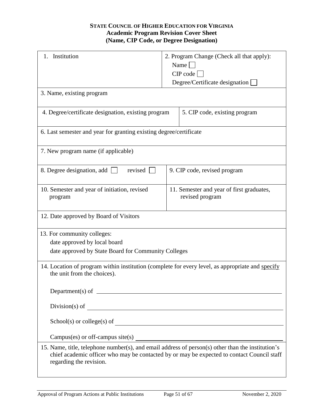### **STATE COUNCIL OF HIGHER EDUCATION FOR VIRGINIA Academic Program Revision Cover Sheet (Name, CIP Code, or Degree Designation)**

<span id="page-51-0"></span>

| Institution<br>1.                                                                                                                                                                                                          | 2. Program Change (Check all that apply):<br>Name $\Box$     |  |  |  |  |
|----------------------------------------------------------------------------------------------------------------------------------------------------------------------------------------------------------------------------|--------------------------------------------------------------|--|--|--|--|
|                                                                                                                                                                                                                            | CIP code                                                     |  |  |  |  |
|                                                                                                                                                                                                                            | Degree/Certificate designation                               |  |  |  |  |
| 3. Name, existing program                                                                                                                                                                                                  |                                                              |  |  |  |  |
| 4. Degree/certificate designation, existing program                                                                                                                                                                        | 5. CIP code, existing program                                |  |  |  |  |
| 6. Last semester and year for granting existing degree/certificate                                                                                                                                                         |                                                              |  |  |  |  |
| 7. New program name (if applicable)                                                                                                                                                                                        |                                                              |  |  |  |  |
| revised<br>8. Degree designation, add                                                                                                                                                                                      | 9. CIP code, revised program                                 |  |  |  |  |
| 10. Semester and year of initiation, revised<br>program                                                                                                                                                                    | 11. Semester and year of first graduates,<br>revised program |  |  |  |  |
| 12. Date approved by Board of Visitors                                                                                                                                                                                     |                                                              |  |  |  |  |
| 13. For community colleges:                                                                                                                                                                                                |                                                              |  |  |  |  |
| date approved by local board                                                                                                                                                                                               |                                                              |  |  |  |  |
| date approved by State Board for Community Colleges                                                                                                                                                                        |                                                              |  |  |  |  |
| 14. Location of program within institution (complete for every level, as appropriate and specify<br>the unit from the choices).                                                                                            |                                                              |  |  |  |  |
| Department(s) of $\qquad \qquad$                                                                                                                                                                                           |                                                              |  |  |  |  |
|                                                                                                                                                                                                                            |                                                              |  |  |  |  |
| $School(s)$ or college(s) of $\qquad \qquad$                                                                                                                                                                               |                                                              |  |  |  |  |
|                                                                                                                                                                                                                            |                                                              |  |  |  |  |
| 15. Name, title, telephone number(s), and email address of person(s) other than the institution's<br>chief academic officer who may be contacted by or may be expected to contact Council staff<br>regarding the revision. |                                                              |  |  |  |  |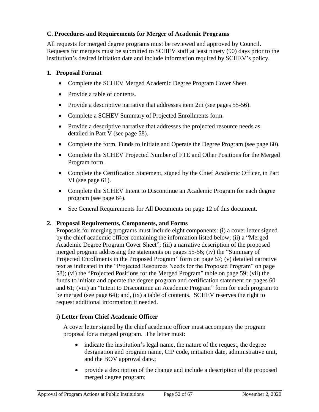# <span id="page-52-0"></span>**C. Procedures and Requirements for Merger of Academic Programs**

All requests for merged degree programs must be reviewed and approved by Council. Requests for mergers must be submitted to SCHEV staff at least ninety (90) days prior to the institution's desired initiation date and include information required by SCHEV's policy.

# **1. Proposal Format**

- Complete the SCHEV Merged Academic Degree Program Cover Sheet.
- Provide a table of contents.
- Provide a descriptive narrative that addresses item 2iii (see pages 55-56).
- Complete a SCHEV Summary of Projected Enrollments form.
- Provide a descriptive narrative that addresses the projected resource needs as detailed in Part V (see page 58).
- Complete the form, Funds to Initiate and Operate the Degree Program (see page 60).
- Complete the SCHEV Projected Number of FTE and Other Positions for the Merged Program form.
- Complete the Certification Statement, signed by the Chief Academic Officer, in Part VI (see page 61).
- Complete the SCHEV Intent to Discontinue an Academic Program for each degree program (see page 64).
- See General Requirements for All Documents on page 12 of this document.

# **2. Proposal Requirements, Components, and Forms**

Proposals for merging programs must include eight components: (i) a cover letter signed by the chief academic officer containing the information listed below; (ii) a "Merged Academic Degree Program Cover Sheet"; (iii) a narrative description of the proposed merged program addressing the statements on pages 55-56; (iv) the "Summary of Projected Enrollments in the Proposed Program" form on page 57; (v) detailed narrative text as indicated in the "Projected Resources Needs for the Proposed Program" on page 58); (vi) the "Projected Positions for the Merged Program" table on page 59; (vii) the funds to initiate and operate the degree program and certification statement on pages 60 and 61; (viii) an "Intent to Discontinue an Academic Program" form for each program to be merged (see page 64); and, (ix) a table of contents. SCHEV reserves the right to request additional information if needed.

# **i) Letter from Chief Academic Officer**

A cover letter signed by the chief academic officer must accompany the program proposal for a merged program. The letter must:

- indicate the institution's legal name, the nature of the request, the degree designation and program name, CIP code, initiation date, administrative unit, and the BOV approval date.;
- provide a description of the change and include a description of the proposed merged degree program;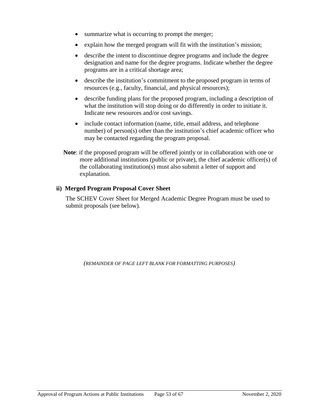- summarize what is occurring to prompt the merger;
- explain how the merged program will fit with the institution's mission;
- describe the intent to discontinue degree programs and include the degree designation and name for the degree programs. Indicate whether the degree programs are in a critical shortage area;
- describe the institution's commitment to the proposed program in terms of resources (e.g., faculty, financial, and physical resources);
- describe funding plans for the proposed program, including a description of what the institution will stop doing or do differently in order to initiate it. Indicate new resources and/or cost savings.
- include contact information (name, title, email address, and telephone number) of person(s) other than the institution's chief academic officer who may be contacted regarding the program proposal.
- **Note:** if the proposed program will be offered jointly or in collaboration with one or more additional institutions (public or private), the chief academic officer(s) of the collaborating institution(s) must also submit a letter of support and explanation.

### **ii) Merged Program Proposal Cover Sheet**

The SCHEV Cover Sheet for Merged Academic Degree Program must be used to submit proposals (see below).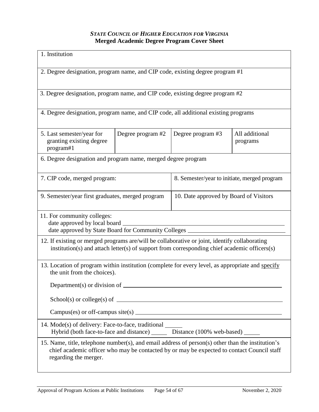# *STATE COUNCIL OF HIGHER EDUCATION FOR VIRGINIA* **Merged Academic Degree Program Cover Sheet**

<span id="page-54-0"></span>

| 1. Institution                                                                                                                                                                                                           |                                                                              |  |  |  |  |  |
|--------------------------------------------------------------------------------------------------------------------------------------------------------------------------------------------------------------------------|------------------------------------------------------------------------------|--|--|--|--|--|
| 2. Degree designation, program name, and CIP code, existing degree program #1                                                                                                                                            |                                                                              |  |  |  |  |  |
| 3. Degree designation, program name, and CIP code, existing degree program #2                                                                                                                                            |                                                                              |  |  |  |  |  |
| 4. Degree designation, program name, and CIP code, all additional existing programs                                                                                                                                      |                                                                              |  |  |  |  |  |
| Degree program #2<br>Degree program #3<br>All additional<br>5. Last semester/year for<br>granting existing degree<br>programs<br>program#1                                                                               |                                                                              |  |  |  |  |  |
| 6. Degree designation and program name, merged degree program                                                                                                                                                            |                                                                              |  |  |  |  |  |
|                                                                                                                                                                                                                          | 8. Semester/year to initiate, merged program<br>7. CIP code, merged program: |  |  |  |  |  |
| 9. Semester/year first graduates, merged program<br>10. Date approved by Board of Visitors                                                                                                                               |                                                                              |  |  |  |  |  |
| 11. For community colleges:<br>date approved by local board ______<br>date approved by State Board for Community Colleges                                                                                                |                                                                              |  |  |  |  |  |
| 12. If existing or merged programs are/will be collaborative or joint, identify collaborating<br>institution(s) and attach letter(s) of support from corresponding chief academic officers(s)                            |                                                                              |  |  |  |  |  |
| 13. Location of program within institution (complete for every level, as appropriate and specify<br>the unit from the choices).                                                                                          |                                                                              |  |  |  |  |  |
|                                                                                                                                                                                                                          |                                                                              |  |  |  |  |  |
|                                                                                                                                                                                                                          |                                                                              |  |  |  |  |  |
| $Campus(es)$ or off-campus site(s) $\angle$                                                                                                                                                                              |                                                                              |  |  |  |  |  |
| 14. Mode(s) of delivery: Face-to-face, traditional<br>Hybrid (both face-to-face and distance) _______ Distance (100% web-based) ______                                                                                   |                                                                              |  |  |  |  |  |
| 15. Name, title, telephone number(s), and email address of person(s) other than the institution's<br>chief academic officer who may be contacted by or may be expected to contact Council staff<br>regarding the merger. |                                                                              |  |  |  |  |  |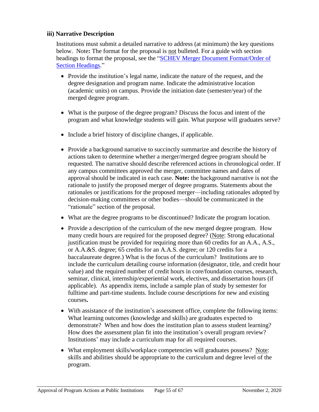# **iii) Narrative Description**

Institutions must submit a detailed narrative to address (at minimum) the key questions below. Note**:** The format for the proposal is not bulleted. For a guide with section headings to format the proposal, see the ["SCHEV Merger Document Format/Order of](https://schev.edu/docs/default-source/institution-section/GuidancePolicy/academic-program-forms/guide-document-merger-format-and-headings-1.pdf)  [Section Headings.](https://schev.edu/docs/default-source/institution-section/GuidancePolicy/academic-program-forms/guide-document-merger-format-and-headings-1.pdf)"

- Provide the institution's legal name, indicate the nature of the request, and the degree designation and program name. Indicate the administrative location (academic units) on campus. Provide the initiation date (semester/year) of the merged degree program.
- What is the purpose of the degree program? Discuss the focus and intent of the program and what knowledge students will gain. What purpose will graduates serve?
- Include a brief history of discipline changes, if applicable.
- Provide a background narrative to succinctly summarize and describe the history of actions taken to determine whether a merger/merged degree program should be requested. The narrative should describe referenced actions in chronological order. If any campus committees approved the merger, committee names and dates of approval should be indicated in each case. **Note:** the background narrative is not the rationale to justify the proposed merger of degree programs. Statements about the rationales or justifications for the proposed merger—including rationales adopted by decision-making committees or other bodies—should be communicated in the "rationale" section of the proposal.
- What are the degree programs to be discontinued? Indicate the program location.
- Provide a description of the curriculum of the new merged degree program. How many credit hours are required for the proposed degree? (Note: Strong educational justification must be provided for requiring more than 60 credits for an A.A., A.S., or A.A.&S. degree; 65 credits for an A.A.S. degree; or 120 credits for a baccalaureate degree.) What is the focus of the curriculum? Institutions are to include the curriculum detailing course information (designator, title, and credit hour value) and the required number of credit hours in core/foundation courses, research, seminar, clinical, internship/experiential work, electives, and dissertation hours (if applicable). As appendix items, include a sample plan of study by semester for fulltime and part-time students. Include course descriptions for new and existing courses**.**
- With assistance of the institution's assessment office, complete the following items: What learning outcomes (knowledge and skills) are graduates expected to demonstrate? When and how does the institution plan to assess student learning? How does the assessment plan fit into the institution's overall program review? Institutions' may include a curriculum map for all required courses.
- What employment skills/workplace competencies will graduates possess? Note: skills and abilities should be appropriate to the curriculum and degree level of the program.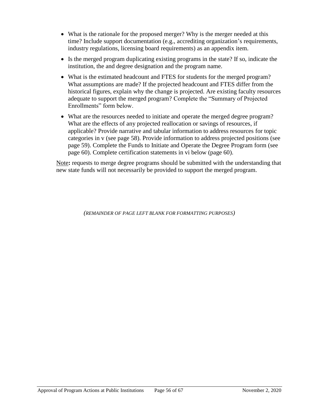- What is the rationale for the proposed merger? Why is the merger needed at this time? Include support documentation (e.g., accrediting organization's requirements, industry regulations, licensing board requirements) as an appendix item.
- Is the merged program duplicating existing programs in the state? If so, indicate the institution, the and degree designation and the program name.
- What is the estimated headcount and FTES for students for the merged program? What assumptions are made? If the projected headcount and FTES differ from the historical figures, explain why the change is projected. Are existing faculty resources adequate to support the merged program? Complete the "Summary of Projected Enrollments" form below.
- What are the resources needed to initiate and operate the merged degree program? What are the effects of any projected reallocation or savings of resources, if applicable? Provide narrative and tabular information to address resources for topic categories in v (see page 58). Provide information to address projected positions (see page 59). Complete the Funds to Initiate and Operate the Degree Program form (see page 60). Complete certification statements in vi below (page 60).

Note**:** requests to merge degree programs should be submitted with the understanding that new state funds will not necessarily be provided to support the merged program.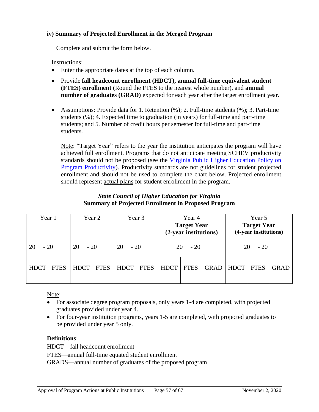### **iv) Summary of Projected Enrollment in the Merged Program**

Complete and submit the form below.

#### Instructions:

- Enter the appropriate dates at the top of each column.
- Provide **fall headcount enrollment (HDCT), annual full-time equivalent student (FTES) enrollment (**Round the FTES to the nearest whole number), and **annual number of graduates (GRAD)** expected for each year after the target enrollment year.
- Assumptions: Provide data for 1. Retention  $(\%)$ ; 2. Full-time students  $(\%)$ ; 3. Part-time students (%); 4. Expected time to graduation (in years) for full-time and part-time students; and 5. Number of credit hours per semester for full-time and part-time students.

Note: "Target Year" refers to the year the institution anticipates the program will have achieved full enrollment. Programs that do not anticipate meeting SCHEV productivity standards should not be proposed (see the [Virginia Public Higher Education Policy on](https://schev.edu/docs/default-source/institution-section/GuidancePolicy/policies-and-guidelines/program-productivity-policy-(review-of-academic-programs-viability).pdf)  [Program Productivity\)](https://schev.edu/docs/default-source/institution-section/GuidancePolicy/policies-and-guidelines/program-productivity-policy-(review-of-academic-programs-viability).pdf). Productivity standards are not guidelines for student projected enrollment and should not be used to complete the chart below. Projected enrollment should represent actual plans for student enrollment in the program.

# *State Council of Higher Education for Virginia* **Summary of Projected Enrollment in Proposed Program**

<span id="page-57-0"></span>

| Year 1      |             | Year 2      |             | Year 3      |             | Year 4<br><b>Target Year</b><br>(2-year institutions) |             |             | Year 5<br><b>Target Year</b><br>(4-year institutions) |             |             |
|-------------|-------------|-------------|-------------|-------------|-------------|-------------------------------------------------------|-------------|-------------|-------------------------------------------------------|-------------|-------------|
| $20 - 20$   |             | $20 - 20$   |             | $20 - 20$   |             | $20 - 20$                                             |             |             | $20 - 20$                                             |             |             |
| <b>HDCT</b> | <b>FTES</b> | <b>HDCT</b> | <b>FTES</b> | <b>HDCT</b> | <b>FTES</b> | HDCT                                                  | <b>FTES</b> | <b>GRAD</b> | <b>HDCT</b>                                           | <b>FTES</b> | <b>GRAD</b> |

# Note:

- For associate degree program proposals, only years 1-4 are completed, with projected graduates provided under year 4.
- For four-year institution programs, years 1-5 are completed, with projected graduates to be provided under year 5 only.

# **Definitions**:

HDCT—fall headcount enrollment FTES—annual full-time equated student enrollment GRADS—annual number of graduates of the proposed program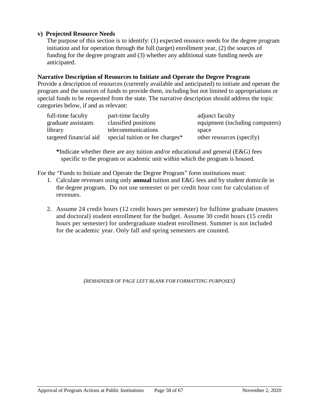### **v) Projected Resource Needs**

The purpose of this section is to identify: (1) expected resource needs for the degree program initiation and for operation through the full (target) enrollment year, (2) the sources of funding for the degree program and (3) whether any additional state funding needs are anticipated.

#### **Narrative Description of Resources to Initiate and Operate the Degree Program**

Provide a description of resources (currently available and anticipated) to initiate and operate the program and the sources of funds to provide them, including but not limited to appropriations or special funds to be requested from the state. The narrative description should address the topic categories below, if and as relevant:

| full-time faculty      | part-time faculty               | adjunct faculty                 |
|------------------------|---------------------------------|---------------------------------|
| graduate assistants    | classified positions            | equipment (including computers) |
| library                | telecommunications              | space                           |
| targeted financial aid | special tuition or fee charges* | other resources (specify)       |

**\***Indicate whether there are any tuition and/or educational and general (E&G) fees specific to the program or academic unit within which the program is housed.

For the "Funds to Initiate and Operate the Degree Program" form institutions must:

- 1. Calculate revenues using only **annual** tuition and E&G fees and by student domicile in the degree program. Do not use semester or per credit hour cost for calculation of revenues.
- 2. Assume 24 credit hours (12 credit hours per semester) for fulltime graduate (masters and doctoral) student enrollment for the budget. Assume 30 credit hours (15 credit hours per semester) for undergraduate student enrollment. Summer is not included for the academic year. Only fall and spring semesters are counted.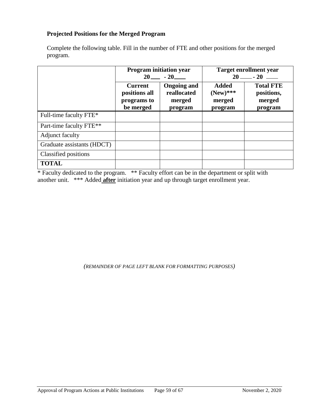# <span id="page-59-0"></span>**Projected Positions for the Merged Program**

Complete the following table. Fill in the number of FTE and other positions for the merged program.

|                            | <b>Program</b> initiation year                                                                                        | $20 - 20$ | <b>Target enrollment year</b><br>$20$ — $- 20$   |                                                     |  |
|----------------------------|-----------------------------------------------------------------------------------------------------------------------|-----------|--------------------------------------------------|-----------------------------------------------------|--|
|                            | <b>Ongoing and</b><br><b>Current</b><br>reallocated<br>positions all<br>programs to<br>merged<br>be merged<br>program |           | <b>Added</b><br>$(New)$ ***<br>merged<br>program | <b>Total FTE</b><br>positions,<br>merged<br>program |  |
| Full-time faculty FTE*     |                                                                                                                       |           |                                                  |                                                     |  |
| Part-time faculty FTE**    |                                                                                                                       |           |                                                  |                                                     |  |
| Adjunct faculty            |                                                                                                                       |           |                                                  |                                                     |  |
| Graduate assistants (HDCT) |                                                                                                                       |           |                                                  |                                                     |  |
| Classified positions       |                                                                                                                       |           |                                                  |                                                     |  |
| <b>TOTAL</b>               |                                                                                                                       |           |                                                  |                                                     |  |

\* Faculty dedicated to the program. \*\* Faculty effort can be in the department or split with another unit. \*\*\* Added **after** initiation year and up through target enrollment year.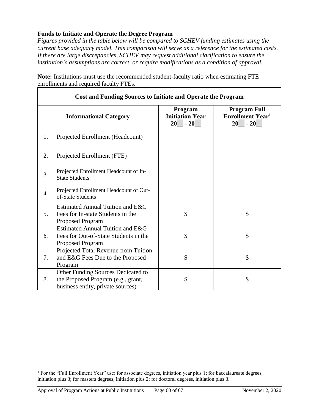# <span id="page-60-0"></span>**Funds to Initiate and Operate the Degree Program**

*Figures provided in the table below will be compared to SCHEV funding estimates using the current base adequacy model. This comparison will serve as a reference for the estimated costs. If there are large discrepancies, SCHEV may request additional clarification to ensure the institution's assumptions are correct, or require modifications as a condition of approval.* 

| <b>Cost and Funding Sources to Initiate and Operate the Program</b> |                                                                                                               |                                                  |                                                                          |  |
|---------------------------------------------------------------------|---------------------------------------------------------------------------------------------------------------|--------------------------------------------------|--------------------------------------------------------------------------|--|
|                                                                     | <b>Informational Category</b>                                                                                 | Program<br><b>Initiation Year</b><br>20<br>$-20$ | <b>Program Full</b><br><b>Enrollment Year<sup>1</sup></b><br>20<br>$-20$ |  |
| 1.                                                                  | Projected Enrollment (Headcount)                                                                              |                                                  |                                                                          |  |
| 2.                                                                  | Projected Enrollment (FTE)                                                                                    |                                                  |                                                                          |  |
| 3.                                                                  | Projected Enrollment Headcount of In-<br><b>State Students</b>                                                |                                                  |                                                                          |  |
| 4.                                                                  | Projected Enrollment Headcount of Out-<br>of-State Students                                                   |                                                  |                                                                          |  |
| 5.                                                                  | Estimated Annual Tuition and E&G<br>Fees for In-state Students in the<br>Proposed Program                     | \$                                               | \$                                                                       |  |
| 6.                                                                  | Estimated Annual Tuition and E&G<br>Fees for Out-of-State Students in the<br><b>Proposed Program</b>          | \$                                               | \$                                                                       |  |
| 7.                                                                  | Projected Total Revenue from Tuition<br>and E&G Fees Due to the Proposed<br>Program                           | \$                                               | \$                                                                       |  |
| 8.                                                                  | Other Funding Sources Dedicated to<br>the Proposed Program (e.g., grant,<br>business entity, private sources) | \$                                               | \$                                                                       |  |

**Note:** Institutions must use the recommended student-faculty ratio when estimating FTE enrollments and required faculty FTEs.

 $\overline{a}$ 

<sup>1</sup> For the "Full Enrollment Year" use: for associate degrees, initiation year plus 1; for baccalaureate degrees, initiation plus 3; for masters degrees, initiation plus 2; for doctoral degrees, initiation plus 3.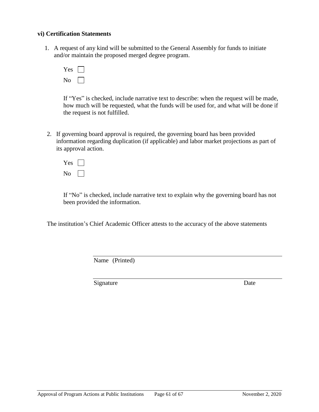#### **vi) Certification Statements**

1. A request of any kind will be submitted to the General Assembly for funds to initiate and/or maintain the proposed merged degree program.

| Y<br>es |  |
|---------|--|
| г<br>)  |  |

If "Yes" is checked, include narrative text to describe: when the request will be made, how much will be requested, what the funds will be used for, and what will be done if the request is not fulfilled.

- 2. If governing board approval is required, the governing board has been provided information regarding duplication (if applicable) and labor market projections as part of its approval action.
	- $Yes \Box$ No  $\Box$

If "No" is checked, include narrative text to explain why the governing board has not been provided the information.

The institution's Chief Academic Officer attests to the accuracy of the above statements

Name (Printed)

Signature Date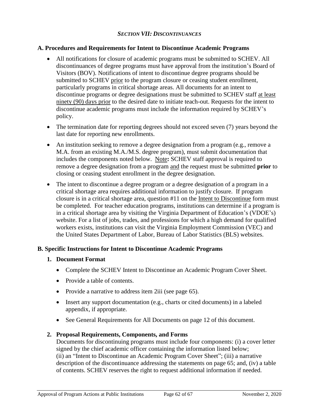### *SECTION VII: DISCONTINUANCES*

### <span id="page-62-1"></span><span id="page-62-0"></span>**A. Procedures and Requirements for Intent to Discontinue Academic Programs**

- All notifications for closure of academic programs must be submitted to SCHEV. All discontinuances of degree programs must have approval from the institution's Board of Visitors (BOV). Notifications of intent to discontinue degree programs should be submitted to SCHEV prior to the program closure or ceasing student enrollment, particularly programs in critical shortage areas. All documents for an intent to discontinue programs or degree designations must be submitted to SCHEV staff at least ninety (90) days prior to the desired date to initiate teach-out. Requests for the intent to discontinue academic programs must include the information required by SCHEV's policy.
- The termination date for reporting degrees should not exceed seven (7) years beyond the last date for reporting new enrollments.
- An institution seeking to remove a degree designation from a program (e.g., remove a M.A. from an existing M.A./M.S. degree program), must submit documentation that includes the components noted below. Note**:** SCHEV staff approval is required to remove a degree designation from a program and the request must be submitted **prior** to closing or ceasing student enrollment in the degree designation.
- The intent to discontinue a degree program or a degree designation of a program in a critical shortage area requires additional information to justify closure. If program closure is in a critical shortage area, question #11 on the Intent to Discontinue form must be completed. For teacher education programs, institutions can determine if a program is in a critical shortage area by visiting the Virginia Department of Education's (VDOE's) website. For a list of jobs, trades, and professions for which a high demand for qualified workers exists, institutions can visit the Virginia Employment Commission (VEC) and the United States Department of Labor, Bureau of Labor Statistics (BLS) websites.

# <span id="page-62-2"></span>**B. Specific Instructions for Intent to Discontinue Academic Programs**

# **1. Document Format**

- Complete the SCHEV Intent to Discontinue an Academic Program Cover Sheet.
- Provide a table of contents.
- Provide a narrative to address item 2iii (see page 65).
- Insert any support documentation (e.g., charts or cited documents) in a labeled appendix, if appropriate.
- See General Requirements for All Documents on page 12 of this document.

# **2. Proposal Requirements, Components, and Forms**

Documents for discontinuing programs must include four components: (i) a cover letter signed by the chief academic officer containing the information listed below; (ii) an "Intent to Discontinue an Academic Program Cover Sheet"; (iii) a narrative description of the discontinuance addressing the statements on page 65; and, (iv) a table of contents. SCHEV reserves the right to request additional information if needed.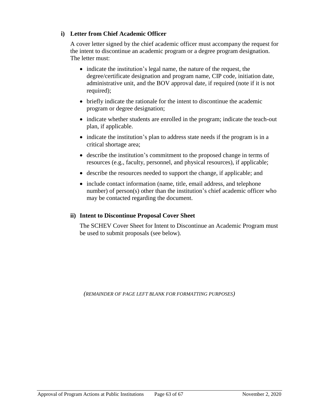# **i) Letter from Chief Academic Officer**

A cover letter signed by the chief academic officer must accompany the request for the intent to discontinue an academic program or a degree program designation. The letter must:

- indicate the institution's legal name, the nature of the request, the degree/certificate designation and program name, CIP code, initiation date, administrative unit, and the BOV approval date, if required (note if it is not required);
- briefly indicate the rationale for the intent to discontinue the academic program or degree designation;
- indicate whether students are enrolled in the program; indicate the teach-out plan, if applicable.
- indicate the institution's plan to address state needs if the program is in a critical shortage area;
- describe the institution's commitment to the proposed change in terms of resources (e.g., faculty, personnel, and physical resources), if applicable;
- describe the resources needed to support the change, if applicable; and
- include contact information (name, title, email address, and telephone number) of person(s) other than the institution's chief academic officer who may be contacted regarding the document.

# **ii) Intent to Discontinue Proposal Cover Sheet**

The SCHEV Cover Sheet for Intent to Discontinue an Academic Program must be used to submit proposals (see below).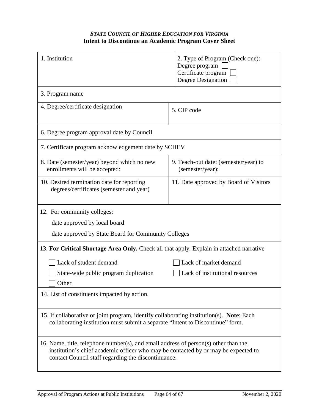# *STATE COUNCIL OF HIGHER EDUCATION FOR VIRGINIA* **Intent to Discontinue an Academic Program Cover Sheet**

<span id="page-64-0"></span>

| 1. Institution                                                                                                                                                                                                                   | 2. Type of Program (Check one):<br>Degree program<br>Certificate program<br>Degree Designation |  |  |  |
|----------------------------------------------------------------------------------------------------------------------------------------------------------------------------------------------------------------------------------|------------------------------------------------------------------------------------------------|--|--|--|
| 3. Program name                                                                                                                                                                                                                  |                                                                                                |  |  |  |
| 4. Degree/certificate designation                                                                                                                                                                                                | 5. CIP code                                                                                    |  |  |  |
| 6. Degree program approval date by Council                                                                                                                                                                                       |                                                                                                |  |  |  |
| 7. Certificate program acknowledgement date by SCHEV                                                                                                                                                                             |                                                                                                |  |  |  |
| 8. Date (semester/year) beyond which no new<br>enrollments will be accepted:                                                                                                                                                     | 9. Teach-out date: (semester/year) to<br>(semester/year):                                      |  |  |  |
| 10. Desired termination date for reporting<br>degrees/certificates (semester and year)                                                                                                                                           | 11. Date approved by Board of Visitors                                                         |  |  |  |
| 12. For community colleges:                                                                                                                                                                                                      |                                                                                                |  |  |  |
| date approved by local board                                                                                                                                                                                                     |                                                                                                |  |  |  |
| date approved by State Board for Community Colleges                                                                                                                                                                              |                                                                                                |  |  |  |
| 13. For Critical Shortage Area Only. Check all that apply. Explain in attached narrative                                                                                                                                         |                                                                                                |  |  |  |
| Lack of student demand                                                                                                                                                                                                           | Lack of market demand                                                                          |  |  |  |
| State-wide public program duplication                                                                                                                                                                                            | Lack of institutional resources                                                                |  |  |  |
| Other                                                                                                                                                                                                                            |                                                                                                |  |  |  |
| 14. List of constituents impacted by action.                                                                                                                                                                                     |                                                                                                |  |  |  |
| 15. If collaborative or joint program, identify collaborating institution(s). Note: Each<br>collaborating institution must submit a separate "Intent to Discontinue" form.                                                       |                                                                                                |  |  |  |
| 16. Name, title, telephone number(s), and email address of person(s) other than the<br>institution's chief academic officer who may be contacted by or may be expected to<br>contact Council staff regarding the discontinuance. |                                                                                                |  |  |  |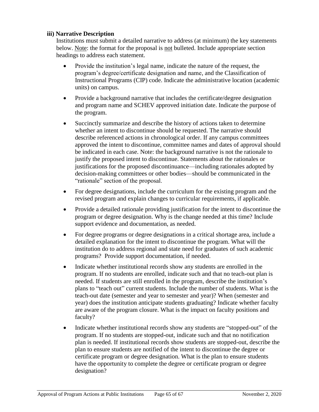# **iii) Narrative Description**

Institutions must submit a detailed narrative to address (at minimum) the key statements below. Note: the format for the proposal is not bulleted. Include appropriate section headings to address each statement.

- Provide the institution's legal name, indicate the nature of the request, the program's degree/certificate designation and name, and the Classification of Instructional Programs (CIP) code. Indicate the administrative location (academic units) on campus.
- Provide a background narrative that includes the certificate/degree designation and program name and SCHEV approved initiation date. Indicate the purpose of the program.
- Succinctly summarize and describe the history of actions taken to determine whether an intent to discontinue should be requested. The narrative should describe referenced actions in chronological order. If any campus committees approved the intent to discontinue, committee names and dates of approval should be indicated in each case. Note: the background narrative is not the rationale to justify the proposed intent to discontinue. Statements about the rationales or justifications for the proposed discontinuance—including rationales adopted by decision-making committees or other bodies—should be communicated in the "rationale" section of the proposal.
- For degree designations, include the curriculum for the existing program and the revised program and explain changes to curricular requirements, if applicable.
- Provide a detailed rationale providing justification for the intent to discontinue the program or degree designation. Why is the change needed at this time? Include support evidence and documentation, as needed.
- For degree programs or degree designations in a critical shortage area, include a detailed explanation for the intent to discontinue the program. What will the institution do to address regional and state need for graduates of such academic programs? Provide support documentation, if needed.
- Indicate whether institutional records show any students are enrolled in the program. If no students are enrolled, indicate such and that no teach-out plan is needed. If students are still enrolled in the program, describe the institution's plans to "teach out" current students. Include the number of students. What is the teach-out date (semester and year to semester and year)? When (semester and year) does the institution anticipate students graduating? Indicate whether faculty are aware of the program closure. What is the impact on faculty positions and faculty?
- Indicate whether institutional records show any students are "stopped-out" of the program. If no students are stopped-out, indicate such and that no notification plan is needed. If institutional records show students are stopped-out, describe the plan to ensure students are notified of the intent to discontinue the degree or certificate program or degree designation. What is the plan to ensure students have the opportunity to complete the degree or certificate program or degree designation?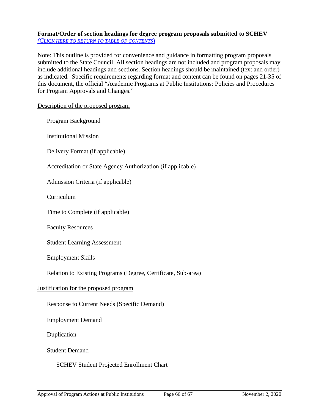### <span id="page-66-0"></span>**Format/Order of section headings for degree program proposals submitted to SCHEV** *(C[LICK HERE TO RETURN TO TABLE OF CONTENTS](#page-2-0)*)

Note: This outline is provided for convenience and guidance in formatting program proposals submitted to the State Council. All section headings are not included and program proposals may include additional headings and sections. Section headings should be maintained (text and order) as indicated. Specific requirements regarding format and content can be found on pages 21-35 of this document, the official "Academic Programs at Public Institutions: Policies and Procedures for Program Approvals and Changes."

Description of the proposed program

Program Background

Institutional Mission

Delivery Format (if applicable)

Accreditation or State Agency Authorization (if applicable)

Admission Criteria (if applicable)

Curriculum

Time to Complete (if applicable)

Faculty Resources

Student Learning Assessment

Employment Skills

Relation to Existing Programs (Degree, Certificate, Sub-area)

#### Justification for the proposed program

Response to Current Needs (Specific Demand)

Employment Demand

Duplication

Student Demand

#### SCHEV Student Projected Enrollment Chart